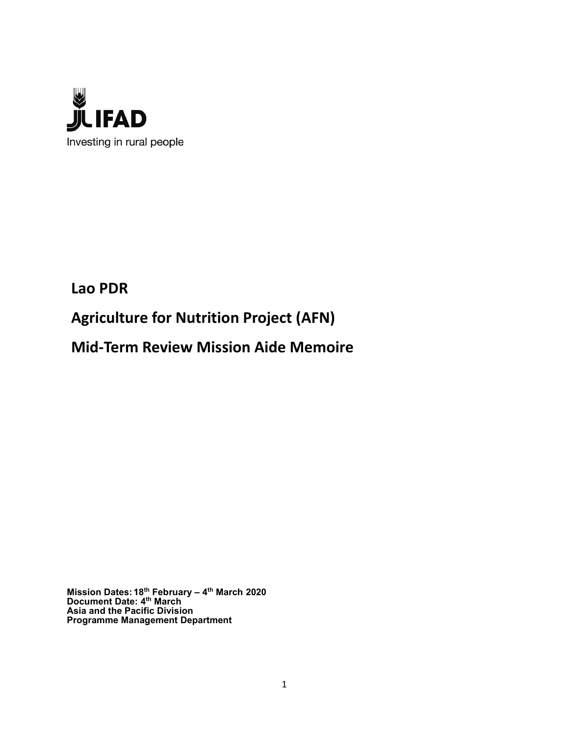

Lao PDR

Agriculture for Nutrition Project (AFN)

Mid-Term Review Mission Aide Memoire

Mission Dates: 18<sup>th</sup> February – 4<sup>th</sup> March 2020 Document Date: 4<sup>th</sup> March Asia and the Pacific Division Programme Management Department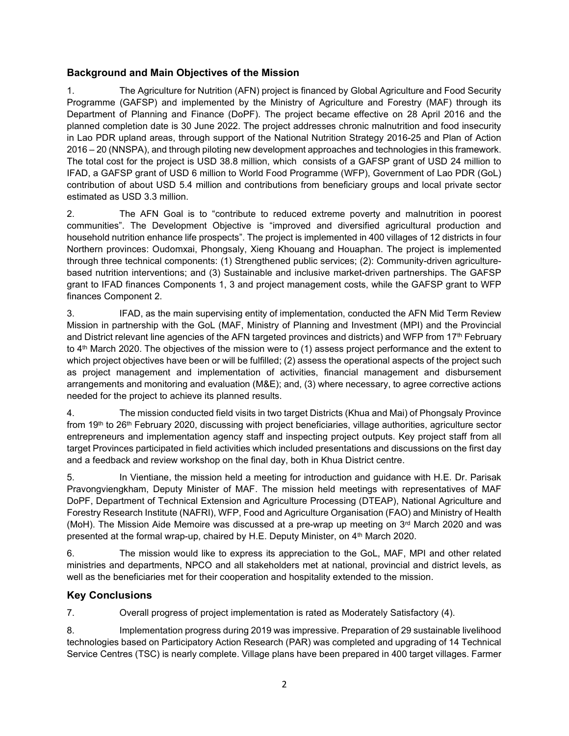#### Background and Main Objectives of the Mission

1. The Agriculture for Nutrition (AFN) project is financed by Global Agriculture and Food Security Programme (GAFSP) and implemented by the Ministry of Agriculture and Forestry (MAF) through its Department of Planning and Finance (DoPF). The project became effective on 28 April 2016 and the planned completion date is 30 June 2022. The project addresses chronic malnutrition and food insecurity in Lao PDR upland areas, through support of the National Nutrition Strategy 2016-25 and Plan of Action 2016 – 20 (NNSPA), and through piloting new development approaches and technologies in this framework. The total cost for the project is USD 38.8 million, which consists of a GAFSP grant of USD 24 million to IFAD, a GAFSP grant of USD 6 million to World Food Programme (WFP), Government of Lao PDR (GoL) contribution of about USD 5.4 million and contributions from beneficiary groups and local private sector estimated as USD 3.3 million.

2. The AFN Goal is to "contribute to reduced extreme poverty and malnutrition in poorest communities". The Development Objective is "improved and diversified agricultural production and household nutrition enhance life prospects". The project is implemented in 400 villages of 12 districts in four Northern provinces: Oudomxai, Phongsaly, Xieng Khouang and Houaphan. The project is implemented through three technical components: (1) Strengthened public services; (2): Community-driven agriculturebased nutrition interventions; and (3) Sustainable and inclusive market-driven partnerships. The GAFSP grant to IFAD finances Components 1, 3 and project management costs, while the GAFSP grant to WFP finances Component 2.

3. IFAD, as the main supervising entity of implementation, conducted the AFN Mid Term Review Mission in partnership with the GoL (MAF, Ministry of Planning and Investment (MPI) and the Provincial and District relevant line agencies of the AFN targeted provinces and districts) and WFP from 17<sup>th</sup> February to 4<sup>th</sup> March 2020. The objectives of the mission were to (1) assess project performance and the extent to which project objectives have been or will be fulfilled; (2) assess the operational aspects of the project such as project management and implementation of activities, financial management and disbursement arrangements and monitoring and evaluation (M&E); and, (3) where necessary, to agree corrective actions needed for the project to achieve its planned results.

4. The mission conducted field visits in two target Districts (Khua and Mai) of Phongsaly Province from 19<sup>th</sup> to 26<sup>th</sup> February 2020, discussing with project beneficiaries, village authorities, agriculture sector entrepreneurs and implementation agency staff and inspecting project outputs. Key project staff from all target Provinces participated in field activities which included presentations and discussions on the first day and a feedback and review workshop on the final day, both in Khua District centre.

5. In Vientiane, the mission held a meeting for introduction and guidance with H.E. Dr. Parisak Pravongviengkham, Deputy Minister of MAF. The mission held meetings with representatives of MAF DoPF, Department of Technical Extension and Agriculture Processing (DTEAP), National Agriculture and Forestry Research Institute (NAFRI), WFP, Food and Agriculture Organisation (FAO) and Ministry of Health (MoH). The Mission Aide Memoire was discussed at a pre-wrap up meeting on  $3<sup>rd</sup>$  March 2020 and was presented at the formal wrap-up, chaired by H.E. Deputy Minister, on 4<sup>th</sup> March 2020.

6. The mission would like to express its appreciation to the GoL, MAF, MPI and other related ministries and departments, NPCO and all stakeholders met at national, provincial and district levels, as well as the beneficiaries met for their cooperation and hospitality extended to the mission.

#### Key Conclusions

7. Overall progress of project implementation is rated as Moderately Satisfactory (4).

8. Implementation progress during 2019 was impressive. Preparation of 29 sustainable livelihood technologies based on Participatory Action Research (PAR) was completed and upgrading of 14 Technical Service Centres (TSC) is nearly complete. Village plans have been prepared in 400 target villages. Farmer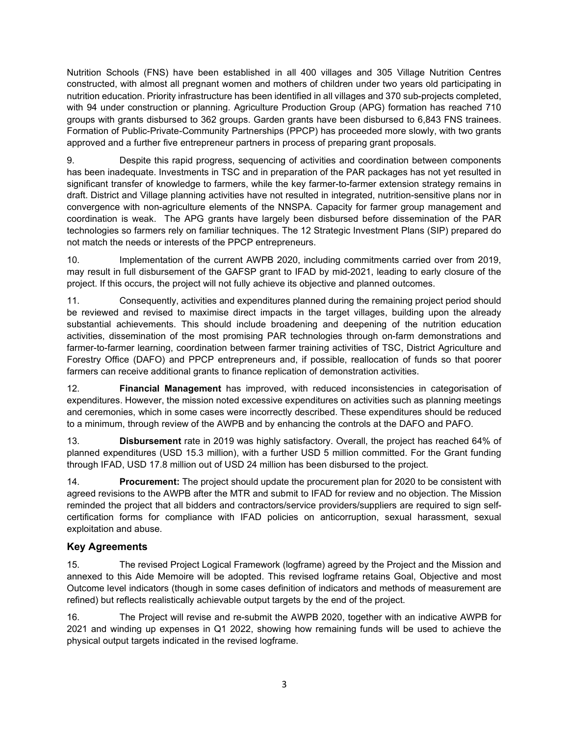Nutrition Schools (FNS) have been established in all 400 villages and 305 Village Nutrition Centres constructed, with almost all pregnant women and mothers of children under two years old participating in nutrition education. Priority infrastructure has been identified in all villages and 370 sub-projects completed, with 94 under construction or planning. Agriculture Production Group (APG) formation has reached 710 groups with grants disbursed to 362 groups. Garden grants have been disbursed to 6,843 FNS trainees. Formation of Public-Private-Community Partnerships (PPCP) has proceeded more slowly, with two grants approved and a further five entrepreneur partners in process of preparing grant proposals.

9. Despite this rapid progress, sequencing of activities and coordination between components has been inadequate. Investments in TSC and in preparation of the PAR packages has not yet resulted in significant transfer of knowledge to farmers, while the key farmer-to-farmer extension strategy remains in draft. District and Village planning activities have not resulted in integrated, nutrition-sensitive plans nor in convergence with non-agriculture elements of the NNSPA. Capacity for farmer group management and coordination is weak. The APG grants have largely been disbursed before dissemination of the PAR technologies so farmers rely on familiar techniques. The 12 Strategic Investment Plans (SIP) prepared do not match the needs or interests of the PPCP entrepreneurs.

10. Implementation of the current AWPB 2020, including commitments carried over from 2019, may result in full disbursement of the GAFSP grant to IFAD by mid-2021, leading to early closure of the project. If this occurs, the project will not fully achieve its objective and planned outcomes.

11. Consequently, activities and expenditures planned during the remaining project period should be reviewed and revised to maximise direct impacts in the target villages, building upon the already substantial achievements. This should include broadening and deepening of the nutrition education activities, dissemination of the most promising PAR technologies through on-farm demonstrations and farmer-to-farmer learning, coordination between farmer training activities of TSC, District Agriculture and Forestry Office (DAFO) and PPCP entrepreneurs and, if possible, reallocation of funds so that poorer farmers can receive additional grants to finance replication of demonstration activities.

12. Financial Management has improved, with reduced inconsistencies in categorisation of expenditures. However, the mission noted excessive expenditures on activities such as planning meetings and ceremonies, which in some cases were incorrectly described. These expenditures should be reduced to a minimum, through review of the AWPB and by enhancing the controls at the DAFO and PAFO.

13. Disbursement rate in 2019 was highly satisfactory. Overall, the project has reached 64% of planned expenditures (USD 15.3 million), with a further USD 5 million committed. For the Grant funding through IFAD, USD 17.8 million out of USD 24 million has been disbursed to the project.

14. **Procurement:** The project should update the procurement plan for 2020 to be consistent with agreed revisions to the AWPB after the MTR and submit to IFAD for review and no objection. The Mission reminded the project that all bidders and contractors/service providers/suppliers are required to sign selfcertification forms for compliance with IFAD policies on anticorruption, sexual harassment, sexual exploitation and abuse.

## Key Agreements

15. The revised Project Logical Framework (logframe) agreed by the Project and the Mission and annexed to this Aide Memoire will be adopted. This revised logframe retains Goal, Objective and most Outcome level indicators (though in some cases definition of indicators and methods of measurement are refined) but reflects realistically achievable output targets by the end of the project.

16. The Project will revise and re-submit the AWPB 2020, together with an indicative AWPB for 2021 and winding up expenses in Q1 2022, showing how remaining funds will be used to achieve the physical output targets indicated in the revised logframe.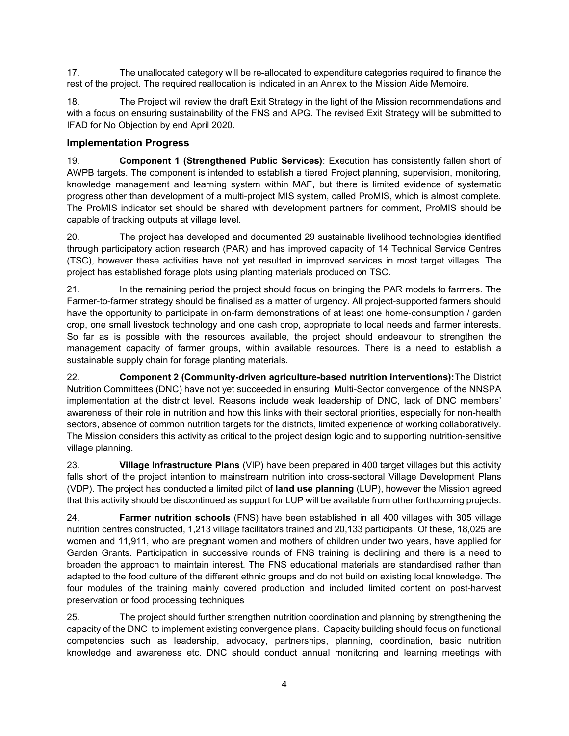17. The unallocated category will be re-allocated to expenditure categories required to finance the rest of the project. The required reallocation is indicated in an Annex to the Mission Aide Memoire.

18. The Project will review the draft Exit Strategy in the light of the Mission recommendations and with a focus on ensuring sustainability of the FNS and APG. The revised Exit Strategy will be submitted to IFAD for No Objection by end April 2020.

#### Implementation Progress

19. Component 1 (Strengthened Public Services): Execution has consistently fallen short of AWPB targets. The component is intended to establish a tiered Project planning, supervision, monitoring, knowledge management and learning system within MAF, but there is limited evidence of systematic progress other than development of a multi-project MIS system, called ProMIS, which is almost complete. The ProMIS indicator set should be shared with development partners for comment, ProMIS should be capable of tracking outputs at village level.

20. The project has developed and documented 29 sustainable livelihood technologies identified through participatory action research (PAR) and has improved capacity of 14 Technical Service Centres (TSC), however these activities have not yet resulted in improved services in most target villages. The project has established forage plots using planting materials produced on TSC.

21. In the remaining period the project should focus on bringing the PAR models to farmers. The Farmer-to-farmer strategy should be finalised as a matter of urgency. All project-supported farmers should have the opportunity to participate in on-farm demonstrations of at least one home-consumption / garden crop, one small livestock technology and one cash crop, appropriate to local needs and farmer interests. So far as is possible with the resources available, the project should endeavour to strengthen the management capacity of farmer groups, within available resources. There is a need to establish a sustainable supply chain for forage planting materials.

22. Component 2 (Community-driven agriculture-based nutrition interventions):The District Nutrition Committees (DNC) have not yet succeeded in ensuring Multi-Sector convergence of the NNSPA implementation at the district level. Reasons include weak leadership of DNC, lack of DNC members' awareness of their role in nutrition and how this links with their sectoral priorities, especially for non-health sectors, absence of common nutrition targets for the districts, limited experience of working collaboratively. The Mission considers this activity as critical to the project design logic and to supporting nutrition-sensitive village planning.

23. Village Infrastructure Plans (VIP) have been prepared in 400 target villages but this activity falls short of the project intention to mainstream nutrition into cross-sectoral Village Development Plans (VDP). The project has conducted a limited pilot of land use planning (LUP), however the Mission agreed that this activity should be discontinued as support for LUP will be available from other forthcoming projects.

24. **Farmer nutrition schools** (FNS) have been established in all 400 villages with 305 village nutrition centres constructed, 1,213 village facilitators trained and 20,133 participants. Of these, 18,025 are women and 11,911, who are pregnant women and mothers of children under two years, have applied for Garden Grants. Participation in successive rounds of FNS training is declining and there is a need to broaden the approach to maintain interest. The FNS educational materials are standardised rather than adapted to the food culture of the different ethnic groups and do not build on existing local knowledge. The four modules of the training mainly covered production and included limited content on post-harvest preservation or food processing techniques

25. The project should further strengthen nutrition coordination and planning by strengthening the capacity of the DNC to implement existing convergence plans. Capacity building should focus on functional competencies such as leadership, advocacy, partnerships, planning, coordination, basic nutrition knowledge and awareness etc. DNC should conduct annual monitoring and learning meetings with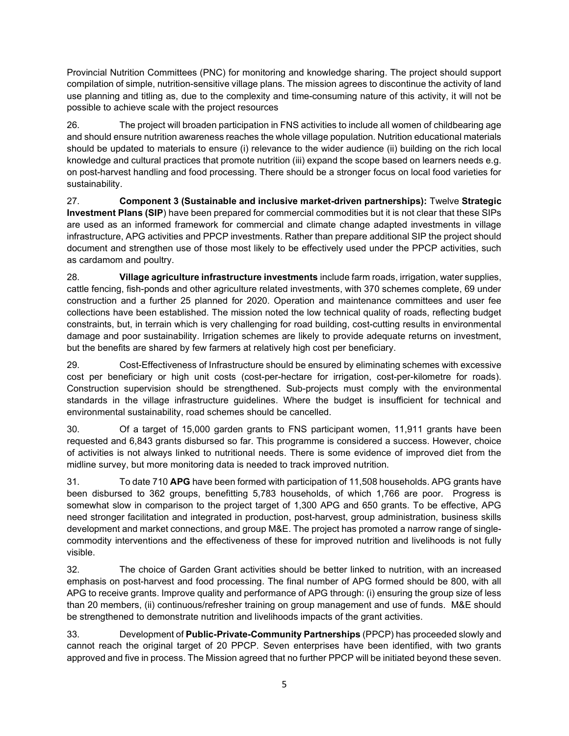Provincial Nutrition Committees (PNC) for monitoring and knowledge sharing. The project should support compilation of simple, nutrition-sensitive village plans. The mission agrees to discontinue the activity of land use planning and titling as, due to the complexity and time-consuming nature of this activity, it will not be possible to achieve scale with the project resources

26. The project will broaden participation in FNS activities to include all women of childbearing age and should ensure nutrition awareness reaches the whole village population. Nutrition educational materials should be updated to materials to ensure (i) relevance to the wider audience (ii) building on the rich local knowledge and cultural practices that promote nutrition (iii) expand the scope based on learners needs e.g. on post-harvest handling and food processing. There should be a stronger focus on local food varieties for sustainability.

27. Component 3 (Sustainable and inclusive market-driven partnerships): Twelve Strategic Investment Plans (SIP) have been prepared for commercial commodities but it is not clear that these SIPs are used as an informed framework for commercial and climate change adapted investments in village infrastructure, APG activities and PPCP investments. Rather than prepare additional SIP the project should document and strengthen use of those most likely to be effectively used under the PPCP activities, such as cardamom and poultry.

28. Village agriculture infrastructure investments include farm roads, irrigation, water supplies, cattle fencing, fish-ponds and other agriculture related investments, with 370 schemes complete, 69 under construction and a further 25 planned for 2020. Operation and maintenance committees and user fee collections have been established. The mission noted the low technical quality of roads, reflecting budget constraints, but, in terrain which is very challenging for road building, cost-cutting results in environmental damage and poor sustainability. Irrigation schemes are likely to provide adequate returns on investment, but the benefits are shared by few farmers at relatively high cost per beneficiary.

29. Cost-Effectiveness of Infrastructure should be ensured by eliminating schemes with excessive cost per beneficiary or high unit costs (cost-per-hectare for irrigation, cost-per-kilometre for roads). Construction supervision should be strengthened. Sub-projects must comply with the environmental standards in the village infrastructure guidelines. Where the budget is insufficient for technical and environmental sustainability, road schemes should be cancelled.

30. Of a target of 15,000 garden grants to FNS participant women, 11,911 grants have been requested and 6,843 grants disbursed so far. This programme is considered a success. However, choice of activities is not always linked to nutritional needs. There is some evidence of improved diet from the midline survey, but more monitoring data is needed to track improved nutrition.

31. To date 710 **APG** have been formed with participation of 11,508 households. APG grants have been disbursed to 362 groups, benefitting 5,783 households, of which 1,766 are poor. Progress is somewhat slow in comparison to the project target of 1,300 APG and 650 grants. To be effective, APG need stronger facilitation and integrated in production, post-harvest, group administration, business skills development and market connections, and group M&E. The project has promoted a narrow range of singlecommodity interventions and the effectiveness of these for improved nutrition and livelihoods is not fully visible.

32. The choice of Garden Grant activities should be better linked to nutrition, with an increased emphasis on post-harvest and food processing. The final number of APG formed should be 800, with all APG to receive grants. Improve quality and performance of APG through: (i) ensuring the group size of less than 20 members, (ii) continuous/refresher training on group management and use of funds. M&E should be strengthened to demonstrate nutrition and livelihoods impacts of the grant activities.

33. Development of Public-Private-Community Partnerships (PPCP) has proceeded slowly and cannot reach the original target of 20 PPCP. Seven enterprises have been identified, with two grants approved and five in process. The Mission agreed that no further PPCP will be initiated beyond these seven.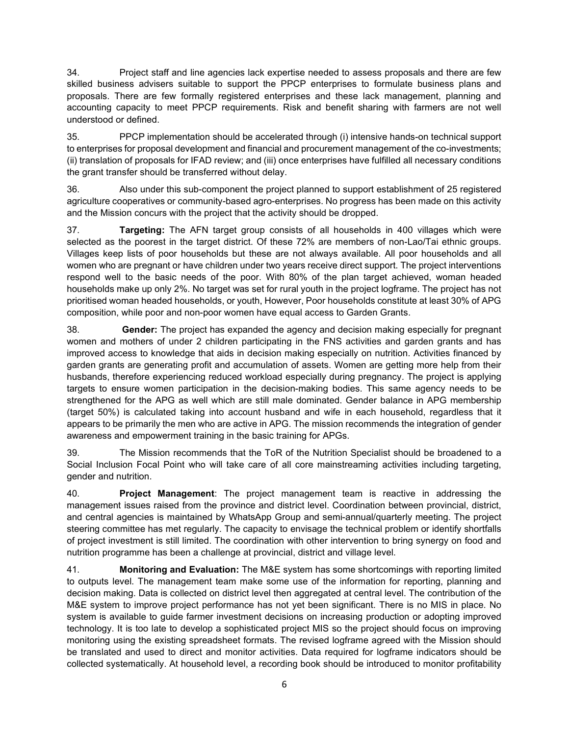34. Project staff and line agencies lack expertise needed to assess proposals and there are few skilled business advisers suitable to support the PPCP enterprises to formulate business plans and proposals. There are few formally registered enterprises and these lack management, planning and accounting capacity to meet PPCP requirements. Risk and benefit sharing with farmers are not well understood or defined.

35. PPCP implementation should be accelerated through (i) intensive hands-on technical support to enterprises for proposal development and financial and procurement management of the co-investments; (ii) translation of proposals for IFAD review; and (iii) once enterprises have fulfilled all necessary conditions the grant transfer should be transferred without delay.

36. Also under this sub-component the project planned to support establishment of 25 registered agriculture cooperatives or community-based agro-enterprises. No progress has been made on this activity and the Mission concurs with the project that the activity should be dropped.

37. **Targeting:** The AFN target group consists of all households in 400 villages which were selected as the poorest in the target district. Of these 72% are members of non-Lao/Tai ethnic groups. Villages keep lists of poor households but these are not always available. All poor households and all women who are pregnant or have children under two years receive direct support. The project interventions respond well to the basic needs of the poor. With 80% of the plan target achieved, woman headed households make up only 2%. No target was set for rural youth in the project logframe. The project has not prioritised woman headed households, or youth, However, Poor households constitute at least 30% of APG composition, while poor and non-poor women have equal access to Garden Grants.

38. **Gender:** The project has expanded the agency and decision making especially for pregnant women and mothers of under 2 children participating in the FNS activities and garden grants and has improved access to knowledge that aids in decision making especially on nutrition. Activities financed by garden grants are generating profit and accumulation of assets. Women are getting more help from their husbands, therefore experiencing reduced workload especially during pregnancy. The project is applying targets to ensure women participation in the decision-making bodies. This same agency needs to be strengthened for the APG as well which are still male dominated. Gender balance in APG membership (target 50%) is calculated taking into account husband and wife in each household, regardless that it appears to be primarily the men who are active in APG. The mission recommends the integration of gender awareness and empowerment training in the basic training for APGs.

39. The Mission recommends that the ToR of the Nutrition Specialist should be broadened to a Social Inclusion Focal Point who will take care of all core mainstreaming activities including targeting, gender and nutrition.

40. Project Management: The project management team is reactive in addressing the management issues raised from the province and district level. Coordination between provincial, district, and central agencies is maintained by WhatsApp Group and semi-annual/quarterly meeting. The project steering committee has met regularly. The capacity to envisage the technical problem or identify shortfalls of project investment is still limited. The coordination with other intervention to bring synergy on food and nutrition programme has been a challenge at provincial, district and village level.

41. Monitoring and Evaluation: The M&E system has some shortcomings with reporting limited to outputs level. The management team make some use of the information for reporting, planning and decision making. Data is collected on district level then aggregated at central level. The contribution of the M&E system to improve project performance has not yet been significant. There is no MIS in place. No system is available to guide farmer investment decisions on increasing production or adopting improved technology. It is too late to develop a sophisticated project MIS so the project should focus on improving monitoring using the existing spreadsheet formats. The revised logframe agreed with the Mission should be translated and used to direct and monitor activities. Data required for logframe indicators should be collected systematically. At household level, a recording book should be introduced to monitor profitability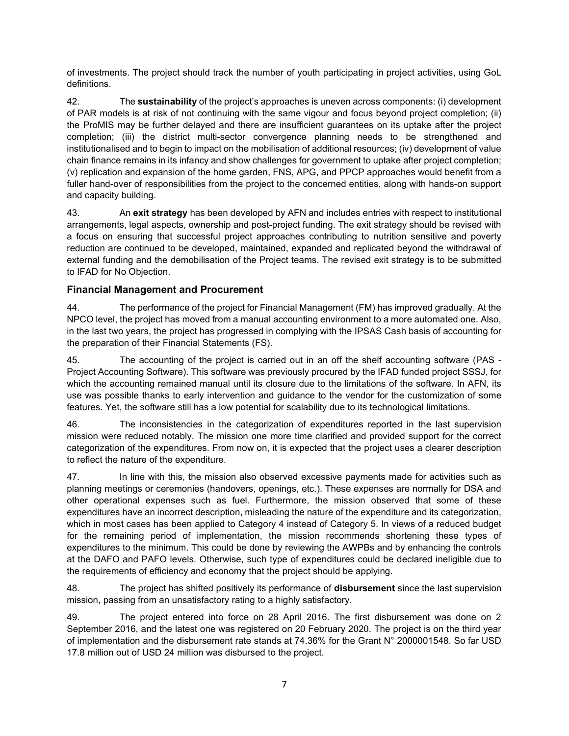of investments. The project should track the number of youth participating in project activities, using GoL definitions.

42. The sustainability of the project's approaches is uneven across components: (i) development of PAR models is at risk of not continuing with the same vigour and focus beyond project completion; (ii) the ProMIS may be further delayed and there are insufficient guarantees on its uptake after the project completion; (iii) the district multi-sector convergence planning needs to be strengthened and institutionalised and to begin to impact on the mobilisation of additional resources; (iv) development of value chain finance remains in its infancy and show challenges for government to uptake after project completion; (v) replication and expansion of the home garden, FNS, APG, and PPCP approaches would benefit from a fuller hand-over of responsibilities from the project to the concerned entities, along with hands-on support and capacity building.

43. An exit strategy has been developed by AFN and includes entries with respect to institutional arrangements, legal aspects, ownership and post-project funding. The exit strategy should be revised with a focus on ensuring that successful project approaches contributing to nutrition sensitive and poverty reduction are continued to be developed, maintained, expanded and replicated beyond the withdrawal of external funding and the demobilisation of the Project teams. The revised exit strategy is to be submitted to IFAD for No Objection.

#### Financial Management and Procurement

44. The performance of the project for Financial Management (FM) has improved gradually. At the NPCO level, the project has moved from a manual accounting environment to a more automated one. Also, in the last two years, the project has progressed in complying with the IPSAS Cash basis of accounting for the preparation of their Financial Statements (FS).

45. The accounting of the project is carried out in an off the shelf accounting software (PAS - Project Accounting Software). This software was previously procured by the IFAD funded project SSSJ, for which the accounting remained manual until its closure due to the limitations of the software. In AFN, its use was possible thanks to early intervention and guidance to the vendor for the customization of some features. Yet, the software still has a low potential for scalability due to its technological limitations.

46. The inconsistencies in the categorization of expenditures reported in the last supervision mission were reduced notably. The mission one more time clarified and provided support for the correct categorization of the expenditures. From now on, it is expected that the project uses a clearer description to reflect the nature of the expenditure.

47. In line with this, the mission also observed excessive payments made for activities such as planning meetings or ceremonies (handovers, openings, etc.). These expenses are normally for DSA and other operational expenses such as fuel. Furthermore, the mission observed that some of these expenditures have an incorrect description, misleading the nature of the expenditure and its categorization, which in most cases has been applied to Category 4 instead of Category 5. In views of a reduced budget for the remaining period of implementation, the mission recommends shortening these types of expenditures to the minimum. This could be done by reviewing the AWPBs and by enhancing the controls at the DAFO and PAFO levels. Otherwise, such type of expenditures could be declared ineligible due to the requirements of efficiency and economy that the project should be applying.

48. The project has shifted positively its performance of **disbursement** since the last supervision mission, passing from an unsatisfactory rating to a highly satisfactory.

49. The project entered into force on 28 April 2016. The first disbursement was done on 2 September 2016, and the latest one was registered on 20 February 2020. The project is on the third year of implementation and the disbursement rate stands at 74.36% for the Grant N° 2000001548. So far USD 17.8 million out of USD 24 million was disbursed to the project.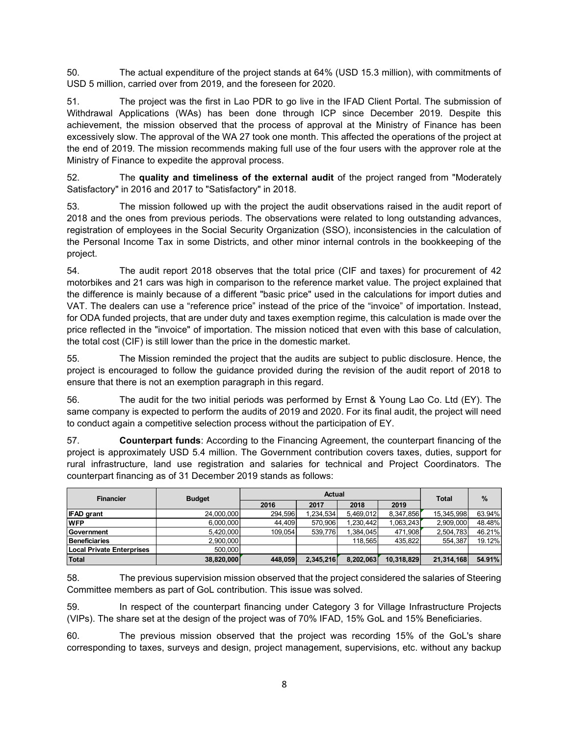50. The actual expenditure of the project stands at 64% (USD 15.3 million), with commitments of USD 5 million, carried over from 2019, and the foreseen for 2020.

51. The project was the first in Lao PDR to go live in the IFAD Client Portal. The submission of Withdrawal Applications (WAs) has been done through ICP since December 2019. Despite this achievement, the mission observed that the process of approval at the Ministry of Finance has been excessively slow. The approval of the WA 27 took one month. This affected the operations of the project at the end of 2019. The mission recommends making full use of the four users with the approver role at the Ministry of Finance to expedite the approval process.

52. The quality and timeliness of the external audit of the project ranged from "Moderately Satisfactory" in 2016 and 2017 to "Satisfactory" in 2018.

53. The mission followed up with the project the audit observations raised in the audit report of 2018 and the ones from previous periods. The observations were related to long outstanding advances, registration of employees in the Social Security Organization (SSO), inconsistencies in the calculation of the Personal Income Tax in some Districts, and other minor internal controls in the bookkeeping of the project.

54. The audit report 2018 observes that the total price (CIF and taxes) for procurement of 42 motorbikes and 21 cars was high in comparison to the reference market value. The project explained that the difference is mainly because of a different "basic price" used in the calculations for import duties and VAT. The dealers can use a "reference price" instead of the price of the "invoice" of importation. Instead, for ODA funded projects, that are under duty and taxes exemption regime, this calculation is made over the price reflected in the "invoice" of importation. The mission noticed that even with this base of calculation, the total cost (CIF) is still lower than the price in the domestic market. The audit report 2018 observes that the total price (CIF and taxes) for procurement of 42<br>thes and 21 cars was high in comparison to the reference market value. The project explained that<br>energe mainly because of a differ

|                                                                                                                                                                                                                                                                                                                                                                                    | motorbikes and 21 cars was high in comparison to the reference market value. The project explained that<br>the difference is mainly because of a different "basic price" used in the calculations for import duties and<br>VAT. The dealers can use a "reference price" instead of the price of the "invoice" of importation. Instead,<br>for ODA funded projects, that are under duty and taxes exemption regime, this calculation is made over the |         |               |                      |                    |                      |                  |  |  |  |  |  |
|------------------------------------------------------------------------------------------------------------------------------------------------------------------------------------------------------------------------------------------------------------------------------------------------------------------------------------------------------------------------------------|------------------------------------------------------------------------------------------------------------------------------------------------------------------------------------------------------------------------------------------------------------------------------------------------------------------------------------------------------------------------------------------------------------------------------------------------------|---------|---------------|----------------------|--------------------|----------------------|------------------|--|--|--|--|--|
| price reflected in the "invoice" of importation. The mission noticed that even with this base of calculation,<br>the total cost (CIF) is still lower than the price in the domestic market.                                                                                                                                                                                        |                                                                                                                                                                                                                                                                                                                                                                                                                                                      |         |               |                      |                    |                      |                  |  |  |  |  |  |
| 55.<br>project is encouraged to follow the guidance provided during the revision of the audit report of 2018 to<br>ensure that there is not an exemption paragraph in this regard.                                                                                                                                                                                                 | The Mission reminded the project that the audits are subject to public disclosure. Hence, the                                                                                                                                                                                                                                                                                                                                                        |         |               |                      |                    |                      |                  |  |  |  |  |  |
| 56.                                                                                                                                                                                                                                                                                                                                                                                | The audit for the two initial periods was performed by Ernst & Young Lao Co. Ltd (EY). The                                                                                                                                                                                                                                                                                                                                                           |         |               |                      |                    |                      |                  |  |  |  |  |  |
|                                                                                                                                                                                                                                                                                                                                                                                    |                                                                                                                                                                                                                                                                                                                                                                                                                                                      |         |               |                      |                    |                      |                  |  |  |  |  |  |
| project is approximately USD 5.4 million. The Government contribution covers taxes, duties, support for                                                                                                                                                                                                                                                                            | <b>Counterpart funds:</b> According to the Financing Agreement, the counterpart financing of the                                                                                                                                                                                                                                                                                                                                                     |         |               |                      |                    |                      |                  |  |  |  |  |  |
| <b>Financier</b>                                                                                                                                                                                                                                                                                                                                                                   | <b>Budget</b>                                                                                                                                                                                                                                                                                                                                                                                                                                        |         | <b>Actual</b> |                      |                    | <b>Total</b>         | $\%$             |  |  |  |  |  |
| same company is expected to perform the audits of 2019 and 2020. For its final audit, the project will need<br>to conduct again a competitive selection process without the participation of EY.<br>57.<br>rural infrastructure, land use registration and salaries for technical and Project Coordinators. The<br>counterpart financing as of 31 December 2019 stands as follows: |                                                                                                                                                                                                                                                                                                                                                                                                                                                      | 2016    | 2017          | 2018                 | 2019               |                      |                  |  |  |  |  |  |
|                                                                                                                                                                                                                                                                                                                                                                                    | 24,000,000                                                                                                                                                                                                                                                                                                                                                                                                                                           | 294,596 | 1,234,534     | 5,469,012            | 8,347,856          | 15,345,998           | 63.94%           |  |  |  |  |  |
|                                                                                                                                                                                                                                                                                                                                                                                    | 6,000,000                                                                                                                                                                                                                                                                                                                                                                                                                                            | 44,409  | 570,906       | 1,230,442            | 1,063,243          | 2,909,000            | 48.48%           |  |  |  |  |  |
| <b>IFAD grant</b><br><b>WFP</b><br>Government<br><b>Beneficiaries</b>                                                                                                                                                                                                                                                                                                              | 5,420,000<br>2,900,000                                                                                                                                                                                                                                                                                                                                                                                                                               | 109,054 | 539,776       | 1,384,045<br>118,565 | 471,908<br>435,822 | 2,504,783<br>554,387 | 46.21%<br>19.12% |  |  |  |  |  |
| <b>Local Private Enterprises</b>                                                                                                                                                                                                                                                                                                                                                   | 500,000                                                                                                                                                                                                                                                                                                                                                                                                                                              |         |               |                      |                    |                      |                  |  |  |  |  |  |

59. In respect of the counterpart financing under Category 3 for Village Infrastructure Projects (VIPs). The share set at the design of the project was of 70% IFAD, 15% GoL and 15% Beneficiaries.

60. The previous mission observed that the project was recording 15% of the GoL's share corresponding to taxes, surveys and design, project management, supervisions, etc. without any backup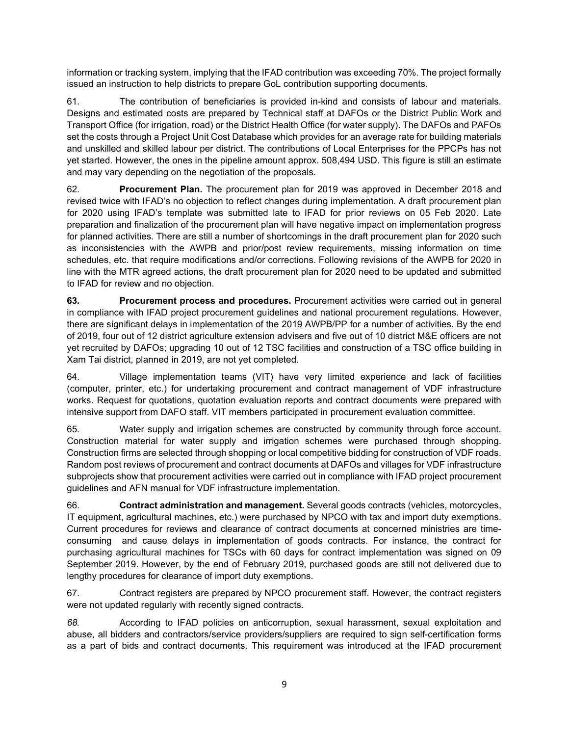information or tracking system, implying that the IFAD contribution was exceeding 70%. The project formally issued an instruction to help districts to prepare GoL contribution supporting documents.

61. The contribution of beneficiaries is provided in-kind and consists of labour and materials. Designs and estimated costs are prepared by Technical staff at DAFOs or the District Public Work and Transport Office (for irrigation, road) or the District Health Office (for water supply). The DAFOs and PAFOs set the costs through a Project Unit Cost Database which provides for an average rate for building materials and unskilled and skilled labour per district. The contributions of Local Enterprises for the PPCPs has not yet started. However, the ones in the pipeline amount approx. 508,494 USD. This figure is still an estimate and may vary depending on the negotiation of the proposals.

62. Procurement Plan. The procurement plan for 2019 was approved in December 2018 and revised twice with IFAD's no objection to reflect changes during implementation. A draft procurement plan for 2020 using IFAD's template was submitted late to IFAD for prior reviews on 05 Feb 2020. Late preparation and finalization of the procurement plan will have negative impact on implementation progress for planned activities. There are still a number of shortcomings in the draft procurement plan for 2020 such as inconsistencies with the AWPB and prior/post review requirements, missing information on time schedules, etc. that require modifications and/or corrections. Following revisions of the AWPB for 2020 in line with the MTR agreed actions, the draft procurement plan for 2020 need to be updated and submitted to IFAD for review and no objection.

63. Procurement process and procedures. Procurement activities were carried out in general in compliance with IFAD project procurement guidelines and national procurement regulations. However, there are significant delays in implementation of the 2019 AWPB/PP for a number of activities. By the end of 2019, four out of 12 district agriculture extension advisers and five out of 10 district M&E officers are not yet recruited by DAFOs; upgrading 10 out of 12 TSC facilities and construction of a TSC office building in Xam Tai district, planned in 2019, are not yet completed.

64. Village implementation teams (VIT) have very limited experience and lack of facilities (computer, printer, etc.) for undertaking procurement and contract management of VDF infrastructure works. Request for quotations, quotation evaluation reports and contract documents were prepared with intensive support from DAFO staff. VIT members participated in procurement evaluation committee.

65. Water supply and irrigation schemes are constructed by community through force account. Construction material for water supply and irrigation schemes were purchased through shopping. Construction firms are selected through shopping or local competitive bidding for construction of VDF roads. Random post reviews of procurement and contract documents at DAFOs and villages for VDF infrastructure subprojects show that procurement activities were carried out in compliance with IFAD project procurement guidelines and AFN manual for VDF infrastructure implementation.

66. **Contract administration and management.** Several goods contracts (vehicles, motorcycles, IT equipment, agricultural machines, etc.) were purchased by NPCO with tax and import duty exemptions. Current procedures for reviews and clearance of contract documents at concerned ministries are timeconsuming and cause delays in implementation of goods contracts. For instance, the contract for purchasing agricultural machines for TSCs with 60 days for contract implementation was signed on 09 September 2019. However, by the end of February 2019, purchased goods are still not delivered due to lengthy procedures for clearance of import duty exemptions.

67. Contract registers are prepared by NPCO procurement staff. However, the contract registers were not updated regularly with recently signed contracts.

68. According to IFAD policies on anticorruption, sexual harassment, sexual exploitation and abuse, all bidders and contractors/service providers/suppliers are required to sign self-certification forms as a part of bids and contract documents. This requirement was introduced at the IFAD procurement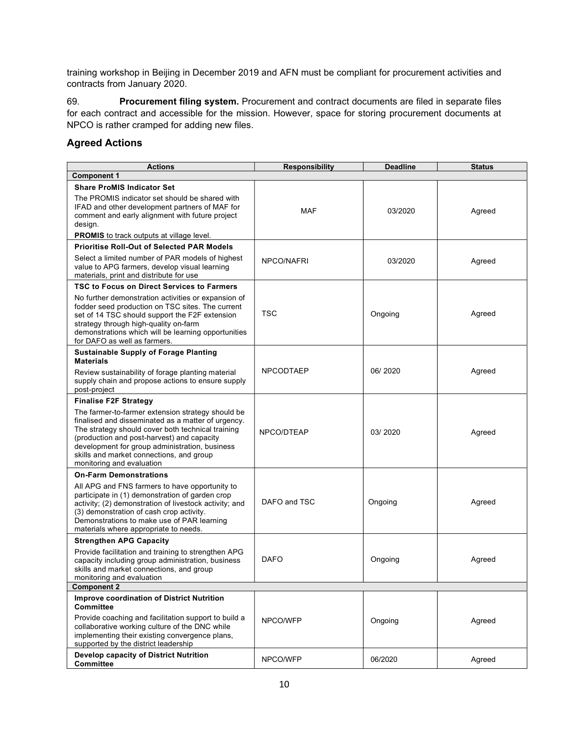training workshop in Beijing in December 2019 and AFN must be compliant for procurement activities and contracts from January 2020.

69. Procurement filing system. Procurement and contract documents are filed in separate files for each contract and accessible for the mission. However, space for storing procurement documents at NPCO is rather cramped for adding new files.

#### Agreed Actions

| <b>Actions</b><br><b>Component 1</b>                                                                                                                                                                                                                                                                                                  | <b>Responsibility</b> | <b>Deadline</b> | <b>Status</b> |
|---------------------------------------------------------------------------------------------------------------------------------------------------------------------------------------------------------------------------------------------------------------------------------------------------------------------------------------|-----------------------|-----------------|---------------|
|                                                                                                                                                                                                                                                                                                                                       |                       |                 |               |
| <b>Share ProMIS Indicator Set</b><br>The PROMIS indicator set should be shared with<br>IFAD and other development partners of MAF for<br>comment and early alignment with future project<br>design.                                                                                                                                   | MAF                   | 03/2020         | Agreed        |
| PROMIS to track outputs at village level.                                                                                                                                                                                                                                                                                             |                       |                 |               |
| <b>Prioritise Roll-Out of Selected PAR Models</b>                                                                                                                                                                                                                                                                                     |                       |                 |               |
| Select a limited number of PAR models of highest<br>value to APG farmers, develop visual learning<br>materials, print and distribute for use                                                                                                                                                                                          | NPCO/NAFRI            | 03/2020         | Agreed        |
| TSC to Focus on Direct Services to Farmers                                                                                                                                                                                                                                                                                            |                       |                 |               |
| No further demonstration activities or expansion of<br>fodder seed production on TSC sites. The current<br>set of 14 TSC should support the F2F extension<br>strategy through high-quality on-farm<br>demonstrations which will be learning opportunities<br>for DAFO as well as farmers.                                             | <b>TSC</b>            | Ongoing         | Agreed        |
| <b>Sustainable Supply of Forage Planting</b>                                                                                                                                                                                                                                                                                          |                       |                 |               |
| <b>Materials</b><br>Review sustainability of forage planting material<br>supply chain and propose actions to ensure supply<br>post-project                                                                                                                                                                                            | <b>NPCODTAEP</b>      | 06/2020         | Agreed        |
| <b>Finalise F2F Strategy</b>                                                                                                                                                                                                                                                                                                          |                       |                 |               |
| The farmer-to-farmer extension strategy should be<br>finalised and disseminated as a matter of urgency.<br>The strategy should cover both technical training<br>(production and post-harvest) and capacity<br>development for group administration, business<br>skills and market connections, and group<br>monitoring and evaluation | NPCO/DTEAP            | 03/2020         | Agreed        |
| <b>On-Farm Demonstrations</b>                                                                                                                                                                                                                                                                                                         |                       |                 |               |
| All APG and FNS farmers to have opportunity to<br>participate in (1) demonstration of garden crop<br>activity; (2) demonstration of livestock activity; and<br>(3) demonstration of cash crop activity.<br>Demonstrations to make use of PAR learning<br>materials where appropriate to needs.                                        | DAFO and TSC          | Ongoing         | Agreed        |
| <b>Strengthen APG Capacity</b>                                                                                                                                                                                                                                                                                                        |                       |                 |               |
| Provide facilitation and training to strengthen APG<br>capacity including group administration, business<br>skills and market connections, and group<br>monitoring and evaluation                                                                                                                                                     | <b>DAFO</b>           | Ongoing         | Agreed        |
| <b>Component 2</b>                                                                                                                                                                                                                                                                                                                    |                       |                 |               |
| <b>Improve coordination of District Nutrition</b><br><b>Committee</b>                                                                                                                                                                                                                                                                 |                       |                 |               |
| Provide coaching and facilitation support to build a<br>collaborative working culture of the DNC while<br>implementing their existing convergence plans,<br>supported by the district leadership                                                                                                                                      | NPCO/WFP              | Ongoing         | Agreed        |
| Develop capacity of District Nutrition<br><b>Committee</b>                                                                                                                                                                                                                                                                            | NPCO/WFP              | 06/2020         | Agreed        |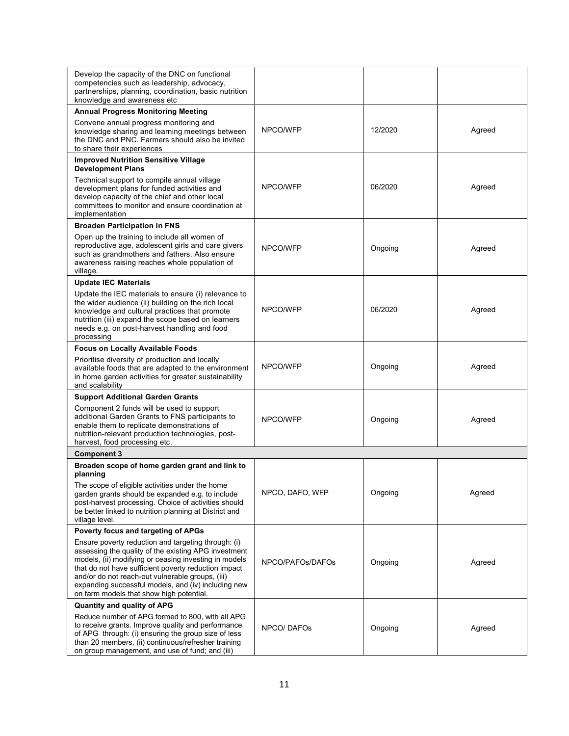| Develop the capacity of the DNC on functional<br>competencies such as leadership, advocacy,<br>partnerships, planning, coordination, basic nutrition<br>knowledge and awareness etc                                                                                                                                                                                                 |                  |         |        |  |
|-------------------------------------------------------------------------------------------------------------------------------------------------------------------------------------------------------------------------------------------------------------------------------------------------------------------------------------------------------------------------------------|------------------|---------|--------|--|
| <b>Annual Progress Monitoring Meeting</b>                                                                                                                                                                                                                                                                                                                                           |                  |         |        |  |
| Convene annual progress monitoring and<br>knowledge sharing and learning meetings between<br>the DNC and PNC. Farmers should also be invited<br>to share their experiences                                                                                                                                                                                                          | NPCO/WFP         | 12/2020 | Agreed |  |
| <b>Improved Nutrition Sensitive Village</b>                                                                                                                                                                                                                                                                                                                                         |                  |         |        |  |
| <b>Development Plans</b><br>Technical support to compile annual village<br>development plans for funded activities and<br>develop capacity of the chief and other local<br>committees to monitor and ensure coordination at<br>implementation                                                                                                                                       | NPCO/WFP         | 06/2020 | Agreed |  |
| <b>Broaden Participation in FNS</b>                                                                                                                                                                                                                                                                                                                                                 |                  |         |        |  |
| Open up the training to include all women of<br>reproductive age, adolescent girls and care givers<br>such as grandmothers and fathers. Also ensure<br>awareness raising reaches whole population of<br>village.                                                                                                                                                                    | NPCO/WFP         | Ongoing | Agreed |  |
| <b>Update IEC Materials</b>                                                                                                                                                                                                                                                                                                                                                         |                  |         |        |  |
| Update the IEC materials to ensure (i) relevance to<br>the wider audience (ii) building on the rich local<br>knowledge and cultural practices that promote<br>nutrition (iii) expand the scope based on learners<br>needs e.g. on post-harvest handling and food<br>processing                                                                                                      | NPCO/WFP         | 06/2020 | Agreed |  |
| <b>Focus on Locally Available Foods</b>                                                                                                                                                                                                                                                                                                                                             |                  |         |        |  |
| Prioritise diversity of production and locally<br>available foods that are adapted to the environment<br>in home garden activities for greater sustainability<br>and scalability                                                                                                                                                                                                    | NPCO/WFP         | Ongoing | Agreed |  |
| <b>Support Additional Garden Grants</b>                                                                                                                                                                                                                                                                                                                                             |                  |         |        |  |
| Component 2 funds will be used to support<br>additional Garden Grants to FNS participants to<br>enable them to replicate demonstrations of<br>nutrition-relevant production technologies, post-<br>harvest, food processing etc.                                                                                                                                                    | NPCO/WFP         | Ongoing | Agreed |  |
| <b>Component 3</b>                                                                                                                                                                                                                                                                                                                                                                  |                  |         |        |  |
| Broaden scope of home garden grant and link to<br>planning                                                                                                                                                                                                                                                                                                                          |                  |         |        |  |
| The scope of eligible activities under the home<br>garden grants should be expanded e.g. to include<br>post-harvest processing. Choice of activities should<br>be better linked to nutrition planning at District and<br>village level.                                                                                                                                             | NPCO, DAFO, WFP  | Ongoing | Agreed |  |
| Poverty focus and targeting of APGs                                                                                                                                                                                                                                                                                                                                                 |                  |         |        |  |
| Ensure poverty reduction and targeting through: (i)<br>assessing the quality of the existing APG investment<br>models, (ii) modifying or ceasing investing in models<br>that do not have sufficient poverty reduction impact<br>and/or do not reach-out vulnerable groups, (iii)<br>expanding successful models, and (iv) including new<br>on farm models that show high potential. | NPCO/PAFOs/DAFOs | Ongoing | Agreed |  |
| Quantity and quality of APG                                                                                                                                                                                                                                                                                                                                                         |                  |         |        |  |
| Reduce number of APG formed to 800, with all APG<br>to receive grants. Improve quality and performance<br>of APG through: (i) ensuring the group size of less<br>than 20 members, (ii) continuous/refresher training                                                                                                                                                                | NPCO/DAFOs       | Ongoing | Agreed |  |
| on group management, and use of fund; and (iii)                                                                                                                                                                                                                                                                                                                                     |                  |         |        |  |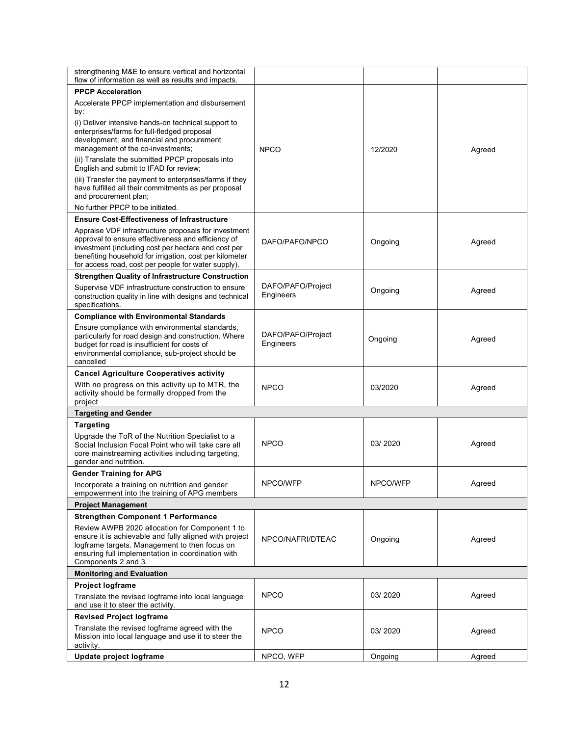| strengthening M&E to ensure vertical and horizontal                                                                                                                                                                                                                                 |                                |          |        |  |
|-------------------------------------------------------------------------------------------------------------------------------------------------------------------------------------------------------------------------------------------------------------------------------------|--------------------------------|----------|--------|--|
| flow of information as well as results and impacts.                                                                                                                                                                                                                                 |                                |          |        |  |
| <b>PPCP Acceleration</b>                                                                                                                                                                                                                                                            |                                |          |        |  |
| Accelerate PPCP implementation and disbursement<br>by:                                                                                                                                                                                                                              |                                |          |        |  |
| (i) Deliver intensive hands-on technical support to<br>enterprises/farms for full-fledged proposal<br>development, and financial and procurement<br>management of the co-investments;                                                                                               | <b>NPCO</b>                    | 12/2020  | Agreed |  |
| (ii) Translate the submitted PPCP proposals into<br>English and submit to IFAD for review;                                                                                                                                                                                          |                                |          |        |  |
| (iii) Transfer the payment to enterprises/farms if they<br>have fulfilled all their commitments as per proposal<br>and procurement plan;<br>No further PPCP to be initiated.                                                                                                        |                                |          |        |  |
| <b>Ensure Cost-Effectiveness of Infrastructure</b>                                                                                                                                                                                                                                  |                                |          |        |  |
| Appraise VDF infrastructure proposals for investment<br>approval to ensure effectiveness and efficiency of<br>investment (including cost per hectare and cost per<br>benefiting household for irrigation, cost per kilometer<br>for access road, cost per people for water supply). | DAFO/PAFO/NPCO                 | Ongoing  | Agreed |  |
| <b>Strengthen Quality of Infrastructure Construction</b>                                                                                                                                                                                                                            |                                |          |        |  |
| Supervise VDF infrastructure construction to ensure<br>construction quality in line with designs and technical<br>specifications.                                                                                                                                                   | DAFO/PAFO/Project<br>Engineers | Ongoing  | Agreed |  |
| <b>Compliance with Environmental Standards</b>                                                                                                                                                                                                                                      |                                |          |        |  |
| Ensure compliance with environmental standards,<br>particularly for road design and construction. Where<br>budget for road is insufficient for costs of<br>environmental compliance, sub-project should be<br>cancelled                                                             | DAFO/PAFO/Project<br>Engineers | Ongoing  | Agreed |  |
| <b>Cancel Agriculture Cooperatives activity</b>                                                                                                                                                                                                                                     |                                |          |        |  |
| With no progress on this activity up to MTR, the<br>activity should be formally dropped from the<br>project                                                                                                                                                                         | <b>NPCO</b>                    | 03/2020  | Agreed |  |
| <b>Targeting and Gender</b>                                                                                                                                                                                                                                                         |                                |          |        |  |
| <b>Targeting</b>                                                                                                                                                                                                                                                                    |                                |          |        |  |
| Upgrade the ToR of the Nutrition Specialist to a<br>Social Inclusion Focal Point who will take care all<br>core mainstreaming activities including targeting,<br>gender and nutrition.                                                                                              | <b>NPCO</b>                    | 03/2020  | Agreed |  |
| <b>Gender Training for APG</b>                                                                                                                                                                                                                                                      |                                |          |        |  |
| Incorporate a training on nutrition and gender<br>empowerment into the training of APG members                                                                                                                                                                                      | NPCO/WFP                       | NPCO/WFP | Agreed |  |
| <b>Project Management</b>                                                                                                                                                                                                                                                           |                                |          |        |  |
| <b>Strengthen Component 1 Performance</b>                                                                                                                                                                                                                                           |                                |          |        |  |
| Review AWPB 2020 allocation for Component 1 to<br>ensure it is achievable and fully aligned with project<br>logframe targets. Management to then focus on<br>ensuring full implementation in coordination with<br>Components 2 and 3.                                               | NPCO/NAFRI/DTEAC               | Ongoing  | Agreed |  |
| <b>Monitoring and Evaluation</b>                                                                                                                                                                                                                                                    |                                |          |        |  |
| <b>Project logframe</b>                                                                                                                                                                                                                                                             |                                |          |        |  |
| Translate the revised logframe into local language<br>and use it to steer the activity.                                                                                                                                                                                             | <b>NPCO</b>                    | 03/2020  | Agreed |  |
| <b>Revised Project logframe</b>                                                                                                                                                                                                                                                     |                                |          |        |  |
| Translate the revised logframe agreed with the<br>Mission into local language and use it to steer the<br>activity.                                                                                                                                                                  | <b>NPCO</b>                    | 03/2020  | Agreed |  |
| Update project logframe                                                                                                                                                                                                                                                             | NPCO, WFP                      | Ongoing  | Agreed |  |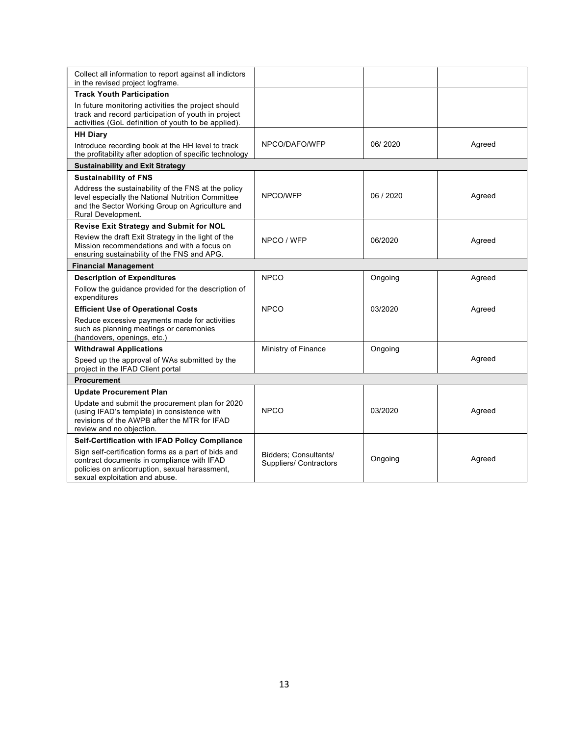| Collect all information to report against all indictors<br>in the revised project logframe.                                                                                           |                                                 |           |        |  |  |  |  |  |
|---------------------------------------------------------------------------------------------------------------------------------------------------------------------------------------|-------------------------------------------------|-----------|--------|--|--|--|--|--|
| <b>Track Youth Participation</b>                                                                                                                                                      |                                                 |           |        |  |  |  |  |  |
| In future monitoring activities the project should<br>track and record participation of youth in project<br>activities (GoL definition of youth to be applied).                       |                                                 |           |        |  |  |  |  |  |
| <b>HH Diary</b>                                                                                                                                                                       |                                                 |           |        |  |  |  |  |  |
| Introduce recording book at the HH level to track<br>the profitability after adoption of specific technology                                                                          | NPCO/DAFO/WFP                                   | 06/2020   | Agreed |  |  |  |  |  |
| <b>Sustainability and Exit Strategy</b>                                                                                                                                               |                                                 |           |        |  |  |  |  |  |
| <b>Sustainability of FNS</b>                                                                                                                                                          |                                                 |           |        |  |  |  |  |  |
| Address the sustainability of the FNS at the policy<br>level especially the National Nutrition Committee<br>and the Sector Working Group on Agriculture and<br>Rural Development.     | NPCO/WFP                                        | 06 / 2020 | Agreed |  |  |  |  |  |
| Revise Exit Strategy and Submit for NOL                                                                                                                                               |                                                 |           |        |  |  |  |  |  |
| Review the draft Exit Strategy in the light of the<br>Mission recommendations and with a focus on<br>ensuring sustainability of the FNS and APG.                                      | NPCO / WFP                                      | 06/2020   | Agreed |  |  |  |  |  |
| <b>Financial Management</b>                                                                                                                                                           |                                                 |           |        |  |  |  |  |  |
| <b>Description of Expenditures</b>                                                                                                                                                    | <b>NPCO</b>                                     | Ongoing   | Agreed |  |  |  |  |  |
| Follow the guidance provided for the description of<br>expenditures                                                                                                                   |                                                 |           |        |  |  |  |  |  |
| <b>Efficient Use of Operational Costs</b>                                                                                                                                             | <b>NPCO</b>                                     | 03/2020   | Agreed |  |  |  |  |  |
| Reduce excessive payments made for activities<br>such as planning meetings or ceremonies<br>(handovers, openings, etc.)                                                               |                                                 |           |        |  |  |  |  |  |
| <b>Withdrawal Applications</b>                                                                                                                                                        | Ministry of Finance                             | Ongoing   |        |  |  |  |  |  |
| Speed up the approval of WAs submitted by the<br>project in the IFAD Client portal                                                                                                    |                                                 |           | Agreed |  |  |  |  |  |
| <b>Procurement</b>                                                                                                                                                                    |                                                 |           |        |  |  |  |  |  |
| <b>Update Procurement Plan</b>                                                                                                                                                        |                                                 |           |        |  |  |  |  |  |
| Update and submit the procurement plan for 2020<br>(using IFAD's template) in consistence with<br>revisions of the AWPB after the MTR for IFAD<br>review and no objection.            | <b>NPCO</b>                                     | 03/2020   | Agreed |  |  |  |  |  |
| Self-Certification with IFAD Policy Compliance                                                                                                                                        |                                                 |           |        |  |  |  |  |  |
| Sign self-certification forms as a part of bids and<br>contract documents in compliance with IFAD<br>policies on anticorruption, sexual harassment,<br>sexual exploitation and abuse. | Bidders; Consultants/<br>Suppliers/ Contractors | Ongoing   | Agreed |  |  |  |  |  |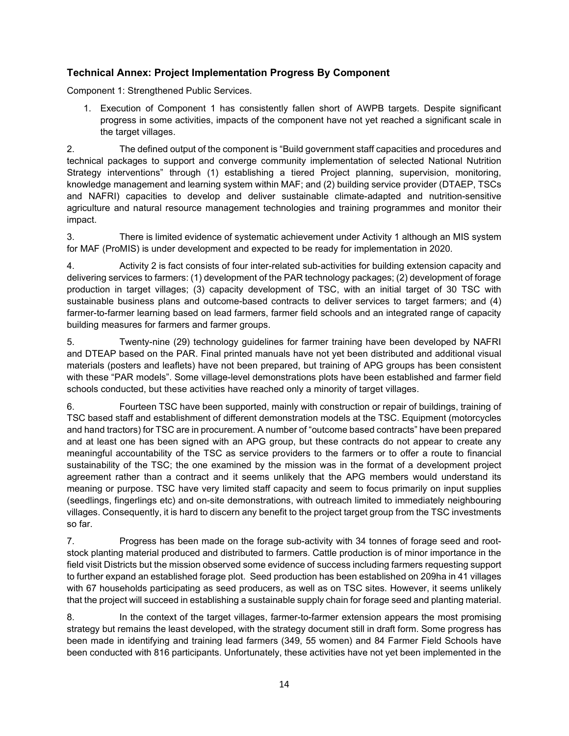#### Technical Annex: Project Implementation Progress By Component

Component 1: Strengthened Public Services.

1. Execution of Component 1 has consistently fallen short of AWPB targets. Despite significant progress in some activities, impacts of the component have not yet reached a significant scale in the target villages.

2. The defined output of the component is "Build government staff capacities and procedures and technical packages to support and converge community implementation of selected National Nutrition Strategy interventions" through (1) establishing a tiered Project planning, supervision, monitoring, knowledge management and learning system within MAF; and (2) building service provider (DTAEP, TSCs and NAFRI) capacities to develop and deliver sustainable climate-adapted and nutrition-sensitive agriculture and natural resource management technologies and training programmes and monitor their impact.

3. There is limited evidence of systematic achievement under Activity 1 although an MIS system for MAF (ProMIS) is under development and expected to be ready for implementation in 2020.

4. Activity 2 is fact consists of four inter-related sub-activities for building extension capacity and delivering services to farmers: (1) development of the PAR technology packages; (2) development of forage production in target villages; (3) capacity development of TSC, with an initial target of 30 TSC with sustainable business plans and outcome-based contracts to deliver services to target farmers; and (4) farmer-to-farmer learning based on lead farmers, farmer field schools and an integrated range of capacity building measures for farmers and farmer groups.

5. Twenty-nine (29) technology guidelines for farmer training have been developed by NAFRI and DTEAP based on the PAR. Final printed manuals have not yet been distributed and additional visual materials (posters and leaflets) have not been prepared, but training of APG groups has been consistent with these "PAR models". Some village-level demonstrations plots have been established and farmer field schools conducted, but these activities have reached only a minority of target villages.

6. Fourteen TSC have been supported, mainly with construction or repair of buildings, training of TSC based staff and establishment of different demonstration models at the TSC. Equipment (motorcycles and hand tractors) for TSC are in procurement. A number of "outcome based contracts" have been prepared and at least one has been signed with an APG group, but these contracts do not appear to create any meaningful accountability of the TSC as service providers to the farmers or to offer a route to financial sustainability of the TSC; the one examined by the mission was in the format of a development project agreement rather than a contract and it seems unlikely that the APG members would understand its meaning or purpose. TSC have very limited staff capacity and seem to focus primarily on input supplies (seedlings, fingerlings etc) and on-site demonstrations, with outreach limited to immediately neighbouring villages. Consequently, it is hard to discern any benefit to the project target group from the TSC investments so far.

7. Progress has been made on the forage sub-activity with 34 tonnes of forage seed and rootstock planting material produced and distributed to farmers. Cattle production is of minor importance in the field visit Districts but the mission observed some evidence of success including farmers requesting support to further expand an established forage plot. Seed production has been established on 209ha in 41 villages with 67 households participating as seed producers, as well as on TSC sites. However, it seems unlikely that the project will succeed in establishing a sustainable supply chain for forage seed and planting material.

8. In the context of the target villages, farmer-to-farmer extension appears the most promising strategy but remains the least developed, with the strategy document still in draft form. Some progress has been made in identifying and training lead farmers (349, 55 women) and 84 Farmer Field Schools have been conducted with 816 participants. Unfortunately, these activities have not yet been implemented in the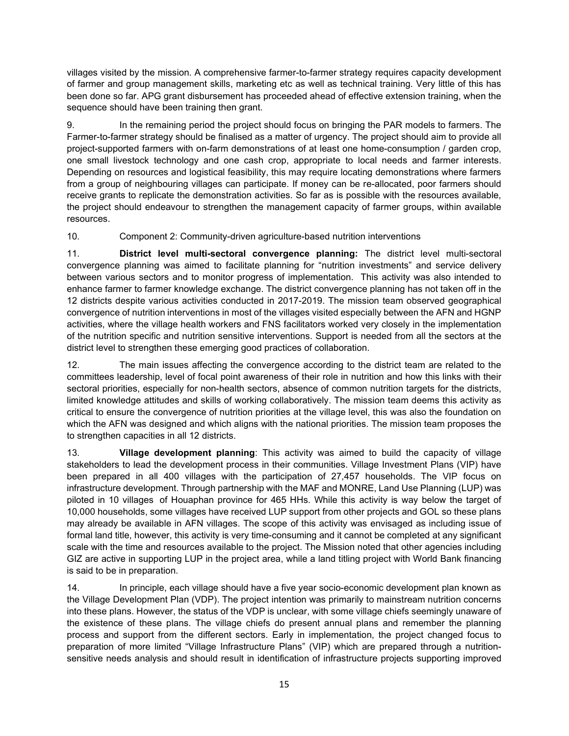villages visited by the mission. A comprehensive farmer-to-farmer strategy requires capacity development of farmer and group management skills, marketing etc as well as technical training. Very little of this has been done so far. APG grant disbursement has proceeded ahead of effective extension training, when the sequence should have been training then grant.

9. In the remaining period the project should focus on bringing the PAR models to farmers. The Farmer-to-farmer strategy should be finalised as a matter of urgency. The project should aim to provide all project-supported farmers with on-farm demonstrations of at least one home-consumption / garden crop, one small livestock technology and one cash crop, appropriate to local needs and farmer interests. Depending on resources and logistical feasibility, this may require locating demonstrations where farmers from a group of neighbouring villages can participate. If money can be re-allocated, poor farmers should receive grants to replicate the demonstration activities. So far as is possible with the resources available, the project should endeavour to strengthen the management capacity of farmer groups, within available resources.

10. Component 2: Community-driven agriculture-based nutrition interventions

11. District level multi-sectoral convergence planning: The district level multi-sectoral convergence planning was aimed to facilitate planning for "nutrition investments" and service delivery between various sectors and to monitor progress of implementation. This activity was also intended to enhance farmer to farmer knowledge exchange. The district convergence planning has not taken off in the 12 districts despite various activities conducted in 2017-2019. The mission team observed geographical convergence of nutrition interventions in most of the villages visited especially between the AFN and HGNP activities, where the village health workers and FNS facilitators worked very closely in the implementation of the nutrition specific and nutrition sensitive interventions. Support is needed from all the sectors at the district level to strengthen these emerging good practices of collaboration.

12. The main issues affecting the convergence according to the district team are related to the committees leadership, level of focal point awareness of their role in nutrition and how this links with their sectoral priorities, especially for non-health sectors, absence of common nutrition targets for the districts, limited knowledge attitudes and skills of working collaboratively. The mission team deems this activity as critical to ensure the convergence of nutrition priorities at the village level, this was also the foundation on which the AFN was designed and which aligns with the national priorities. The mission team proposes the to strengthen capacities in all 12 districts.

13. Village development planning: This activity was aimed to build the capacity of village stakeholders to lead the development process in their communities. Village Investment Plans (VIP) have been prepared in all 400 villages with the participation of 27,457 households. The VIP focus on infrastructure development. Through partnership with the MAF and MONRE, Land Use Planning (LUP) was piloted in 10 villages of Houaphan province for 465 HHs. While this activity is way below the target of 10,000 households, some villages have received LUP support from other projects and GOL so these plans may already be available in AFN villages. The scope of this activity was envisaged as including issue of formal land title, however, this activity is very time-consuming and it cannot be completed at any significant scale with the time and resources available to the project. The Mission noted that other agencies including GIZ are active in supporting LUP in the project area, while a land titling project with World Bank financing is said to be in preparation.

14. In principle, each village should have a five year socio-economic development plan known as the Village Development Plan (VDP). The project intention was primarily to mainstream nutrition concerns into these plans. However, the status of the VDP is unclear, with some village chiefs seemingly unaware of the existence of these plans. The village chiefs do present annual plans and remember the planning process and support from the different sectors. Early in implementation, the project changed focus to preparation of more limited "Village Infrastructure Plans" (VIP) which are prepared through a nutritionsensitive needs analysis and should result in identification of infrastructure projects supporting improved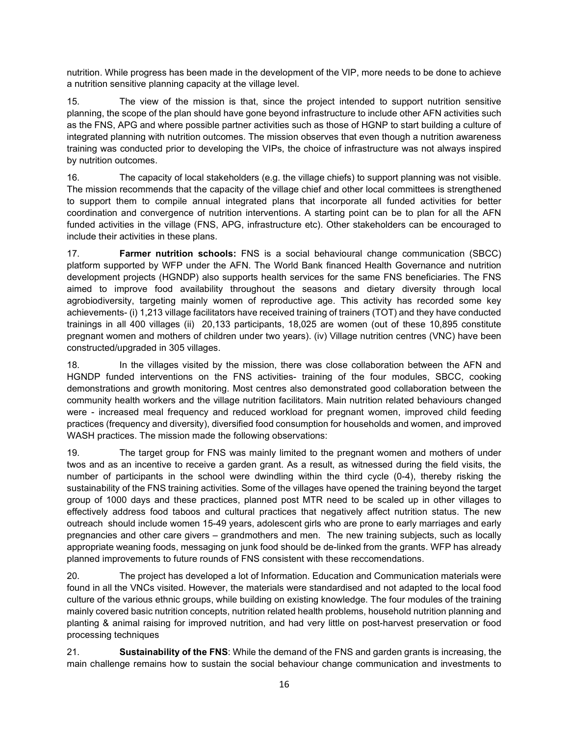nutrition. While progress has been made in the development of the VIP, more needs to be done to achieve a nutrition sensitive planning capacity at the village level.

15. The view of the mission is that, since the project intended to support nutrition sensitive planning, the scope of the plan should have gone beyond infrastructure to include other AFN activities such as the FNS, APG and where possible partner activities such as those of HGNP to start building a culture of integrated planning with nutrition outcomes. The mission observes that even though a nutrition awareness training was conducted prior to developing the VIPs, the choice of infrastructure was not always inspired by nutrition outcomes.

16. The capacity of local stakeholders (e.g. the village chiefs) to support planning was not visible. The mission recommends that the capacity of the village chief and other local committees is strengthened to support them to compile annual integrated plans that incorporate all funded activities for better coordination and convergence of nutrition interventions. A starting point can be to plan for all the AFN funded activities in the village (FNS, APG, infrastructure etc). Other stakeholders can be encouraged to include their activities in these plans.

17. **Farmer nutrition schools:** FNS is a social behavioural change communication (SBCC) platform supported by WFP under the AFN. The World Bank financed Health Governance and nutrition development projects (HGNDP) also supports health services for the same FNS beneficiaries. The FNS aimed to improve food availability throughout the seasons and dietary diversity through local agrobiodiversity, targeting mainly women of reproductive age. This activity has recorded some key achievements- (i) 1,213 village facilitators have received training of trainers (TOT) and they have conducted trainings in all 400 villages (ii) 20,133 participants, 18,025 are women (out of these 10,895 constitute pregnant women and mothers of children under two years). (iv) Village nutrition centres (VNC) have been constructed/upgraded in 305 villages.

18. In the villages visited by the mission, there was close collaboration between the AFN and HGNDP funded interventions on the FNS activities- training of the four modules, SBCC, cooking demonstrations and growth monitoring. Most centres also demonstrated good collaboration between the community health workers and the village nutrition facilitators. Main nutrition related behaviours changed were - increased meal frequency and reduced workload for pregnant women, improved child feeding practices (frequency and diversity), diversified food consumption for households and women, and improved WASH practices. The mission made the following observations:

19. The target group for FNS was mainly limited to the pregnant women and mothers of under twos and as an incentive to receive a garden grant. As a result, as witnessed during the field visits, the number of participants in the school were dwindling within the third cycle (0-4), thereby risking the sustainability of the FNS training activities. Some of the villages have opened the training beyond the target group of 1000 days and these practices, planned post MTR need to be scaled up in other villages to effectively address food taboos and cultural practices that negatively affect nutrition status. The new outreach should include women 15-49 years, adolescent girls who are prone to early marriages and early pregnancies and other care givers – grandmothers and men. The new training subjects, such as locally appropriate weaning foods, messaging on junk food should be de-linked from the grants. WFP has already planned improvements to future rounds of FNS consistent with these reccomendations.

20. The project has developed a lot of Information. Education and Communication materials were found in all the VNCs visited. However, the materials were standardised and not adapted to the local food culture of the various ethnic groups, while building on existing knowledge. The four modules of the training mainly covered basic nutrition concepts, nutrition related health problems, household nutrition planning and planting & animal raising for improved nutrition, and had very little on post-harvest preservation or food processing techniques

21. **Sustainability of the FNS:** While the demand of the FNS and garden grants is increasing, the main challenge remains how to sustain the social behaviour change communication and investments to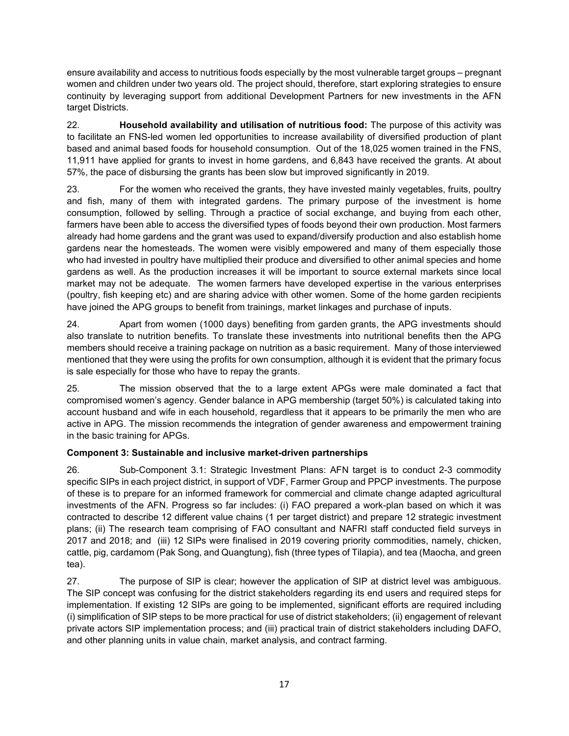ensure availability and access to nutritious foods especially by the most vulnerable target groups – pregnant women and children under two years old. The project should, therefore, start exploring strategies to ensure continuity by leveraging support from additional Development Partners for new investments in the AFN target Districts.

22. Household availability and utilisation of nutritious food: The purpose of this activity was to facilitate an FNS-led women led opportunities to increase availability of diversified production of plant based and animal based foods for household consumption. Out of the 18,025 women trained in the FNS, 11,911 have applied for grants to invest in home gardens, and 6,843 have received the grants. At about 57%, the pace of disbursing the grants has been slow but improved significantly in 2019.

23. For the women who received the grants, they have invested mainly vegetables, fruits, poultry and fish, many of them with integrated gardens. The primary purpose of the investment is home consumption, followed by selling. Through a practice of social exchange, and buying from each other, farmers have been able to access the diversified types of foods beyond their own production. Most farmers already had home gardens and the grant was used to expand/diversify production and also establish home gardens near the homesteads. The women were visibly empowered and many of them especially those who had invested in poultry have multiplied their produce and diversified to other animal species and home gardens as well. As the production increases it will be important to source external markets since local market may not be adequate. The women farmers have developed expertise in the various enterprises (poultry, fish keeping etc) and are sharing advice with other women. Some of the home garden recipients have joined the APG groups to benefit from trainings, market linkages and purchase of inputs.

24. Apart from women (1000 days) benefiting from garden grants, the APG investments should also translate to nutrition benefits. To translate these investments into nutritional benefits then the APG members should receive a training package on nutrition as a basic requirement. Many of those interviewed mentioned that they were using the profits for own consumption, although it is evident that the primary focus is sale especially for those who have to repay the grants.

25. The mission observed that the to a large extent APGs were male dominated a fact that compromised women's agency. Gender balance in APG membership (target 50%) is calculated taking into account husband and wife in each household, regardless that it appears to be primarily the men who are active in APG. The mission recommends the integration of gender awareness and empowerment training in the basic training for APGs.

## Component 3: Sustainable and inclusive market-driven partnerships

26. Sub-Component 3.1: Strategic Investment Plans: AFN target is to conduct 2-3 commodity specific SIPs in each project district, in support of VDF, Farmer Group and PPCP investments. The purpose of these is to prepare for an informed framework for commercial and climate change adapted agricultural investments of the AFN. Progress so far includes: (i) FAO prepared a work-plan based on which it was contracted to describe 12 different value chains (1 per target district) and prepare 12 strategic investment plans; (ii) The research team comprising of FAO consultant and NAFRI staff conducted field surveys in 2017 and 2018; and (iii) 12 SIPs were finalised in 2019 covering priority commodities, namely, chicken, cattle, pig, cardamom (Pak Song, and Quangtung), fish (three types of Tilapia), and tea (Maocha, and green tea).

27. The purpose of SIP is clear; however the application of SIP at district level was ambiguous. The SIP concept was confusing for the district stakeholders regarding its end users and required steps for implementation. If existing 12 SIPs are going to be implemented, significant efforts are required including (i) simplification of SIP steps to be more practical for use of district stakeholders; (ii) engagement of relevant private actors SIP implementation process; and (iii) practical train of district stakeholders including DAFO, and other planning units in value chain, market analysis, and contract farming.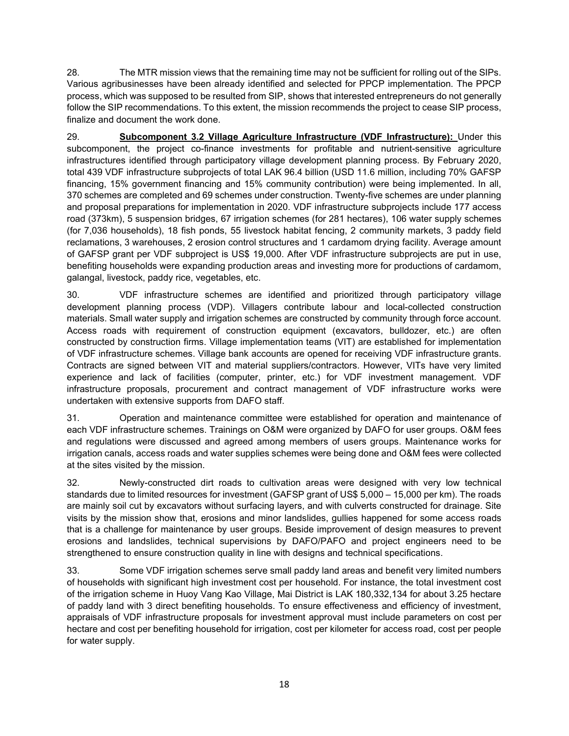28. The MTR mission views that the remaining time may not be sufficient for rolling out of the SIPs. Various agribusinesses have been already identified and selected for PPCP implementation. The PPCP process, which was supposed to be resulted from SIP, shows that interested entrepreneurs do not generally follow the SIP recommendations. To this extent, the mission recommends the project to cease SIP process, finalize and document the work done.

29. **Subcomponent 3.2 Village Agriculture Infrastructure (VDF Infrastructure):** Under this subcomponent, the project co-finance investments for profitable and nutrient-sensitive agriculture infrastructures identified through participatory village development planning process. By February 2020, total 439 VDF infrastructure subprojects of total LAK 96.4 billion (USD 11.6 million, including 70% GAFSP financing, 15% government financing and 15% community contribution) were being implemented. In all, 370 schemes are completed and 69 schemes under construction. Twenty-five schemes are under planning and proposal preparations for implementation in 2020. VDF infrastructure subprojects include 177 access road (373km), 5 suspension bridges, 67 irrigation schemes (for 281 hectares), 106 water supply schemes (for 7,036 households), 18 fish ponds, 55 livestock habitat fencing, 2 community markets, 3 paddy field reclamations, 3 warehouses, 2 erosion control structures and 1 cardamom drying facility. Average amount of GAFSP grant per VDF subproject is US\$ 19,000. After VDF infrastructure subprojects are put in use, benefiting households were expanding production areas and investing more for productions of cardamom, galangal, livestock, paddy rice, vegetables, etc.

30. VDF infrastructure schemes are identified and prioritized through participatory village development planning process (VDP). Villagers contribute labour and local-collected construction materials. Small water supply and irrigation schemes are constructed by community through force account. Access roads with requirement of construction equipment (excavators, bulldozer, etc.) are often constructed by construction firms. Village implementation teams (VIT) are established for implementation of VDF infrastructure schemes. Village bank accounts are opened for receiving VDF infrastructure grants. Contracts are signed between VIT and material suppliers/contractors. However, VITs have very limited experience and lack of facilities (computer, printer, etc.) for VDF investment management. VDF infrastructure proposals, procurement and contract management of VDF infrastructure works were undertaken with extensive supports from DAFO staff.

31. Operation and maintenance committee were established for operation and maintenance of each VDF infrastructure schemes. Trainings on O&M were organized by DAFO for user groups. O&M fees and regulations were discussed and agreed among members of users groups. Maintenance works for irrigation canals, access roads and water supplies schemes were being done and O&M fees were collected at the sites visited by the mission.

32. Newly-constructed dirt roads to cultivation areas were designed with very low technical standards due to limited resources for investment (GAFSP grant of US\$ 5,000 – 15,000 per km). The roads are mainly soil cut by excavators without surfacing layers, and with culverts constructed for drainage. Site visits by the mission show that, erosions and minor landslides, gullies happened for some access roads that is a challenge for maintenance by user groups. Beside improvement of design measures to prevent erosions and landslides, technical supervisions by DAFO/PAFO and project engineers need to be strengthened to ensure construction quality in line with designs and technical specifications.

33. Some VDF irrigation schemes serve small paddy land areas and benefit very limited numbers of households with significant high investment cost per household. For instance, the total investment cost of the irrigation scheme in Huoy Vang Kao Village, Mai District is LAK 180,332,134 for about 3.25 hectare of paddy land with 3 direct benefiting households. To ensure effectiveness and efficiency of investment, appraisals of VDF infrastructure proposals for investment approval must include parameters on cost per hectare and cost per benefiting household for irrigation, cost per kilometer for access road, cost per people for water supply.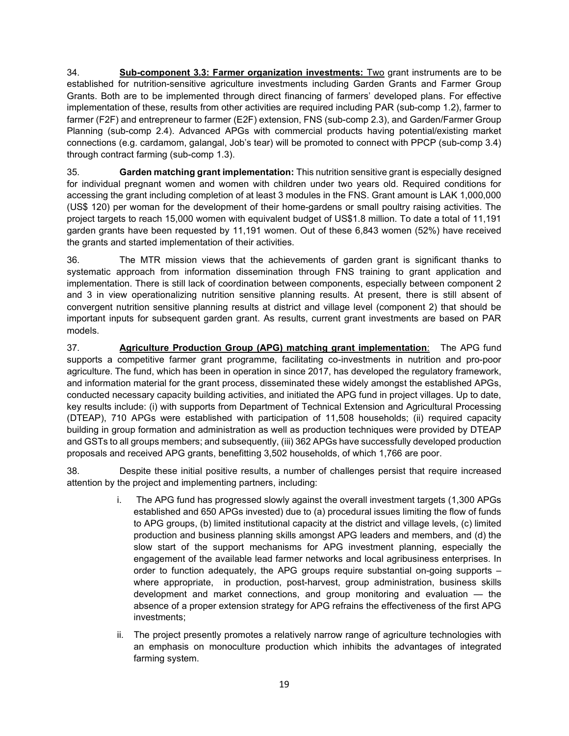34. Sub-component 3.3: Farmer organization investments: Two grant instruments are to be established for nutrition-sensitive agriculture investments including Garden Grants and Farmer Group Grants. Both are to be implemented through direct financing of farmers' developed plans. For effective implementation of these, results from other activities are required including PAR (sub-comp 1.2), farmer to farmer (F2F) and entrepreneur to farmer (E2F) extension, FNS (sub-comp 2.3), and Garden/Farmer Group Planning (sub-comp 2.4). Advanced APGs with commercial products having potential/existing market connections (e.g. cardamom, galangal, Job's tear) will be promoted to connect with PPCP (sub-comp 3.4) through contract farming (sub-comp 1.3).

35. **Garden matching grant implementation:** This nutrition sensitive grant is especially designed for individual pregnant women and women with children under two years old. Required conditions for accessing the grant including completion of at least 3 modules in the FNS. Grant amount is LAK 1,000,000 (US\$ 120) per woman for the development of their home-gardens or small poultry raising activities. The project targets to reach 15,000 women with equivalent budget of US\$1.8 million. To date a total of 11,191 garden grants have been requested by 11,191 women. Out of these 6,843 women (52%) have received the grants and started implementation of their activities.

36. The MTR mission views that the achievements of garden grant is significant thanks to systematic approach from information dissemination through FNS training to grant application and implementation. There is still lack of coordination between components, especially between component 2 and 3 in view operationalizing nutrition sensitive planning results. At present, there is still absent of convergent nutrition sensitive planning results at district and village level (component 2) that should be important inputs for subsequent garden grant. As results, current grant investments are based on PAR models.

37. Agriculture Production Group (APG) matching grant implementation: The APG fund supports a competitive farmer grant programme, facilitating co-investments in nutrition and pro-poor agriculture. The fund, which has been in operation in since 2017, has developed the regulatory framework, and information material for the grant process, disseminated these widely amongst the established APGs, conducted necessary capacity building activities, and initiated the APG fund in project villages. Up to date, key results include: (i) with supports from Department of Technical Extension and Agricultural Processing (DTEAP), 710 APGs were established with participation of 11,508 households; (ii) required capacity building in group formation and administration as well as production techniques were provided by DTEAP and GSTs to all groups members; and subsequently, (iii) 362 APGs have successfully developed production proposals and received APG grants, benefitting 3,502 households, of which 1,766 are poor.

38. Despite these initial positive results, a number of challenges persist that require increased attention by the project and implementing partners, including:

- i. The APG fund has progressed slowly against the overall investment targets (1,300 APGs established and 650 APGs invested) due to (a) procedural issues limiting the flow of funds to APG groups, (b) limited institutional capacity at the district and village levels, (c) limited production and business planning skills amongst APG leaders and members, and (d) the slow start of the support mechanisms for APG investment planning, especially the engagement of the available lead farmer networks and local agribusiness enterprises. In order to function adequately, the APG groups require substantial on-going supports – where appropriate, in production, post-harvest, group administration, business skills development and market connections, and group monitoring and evaluation — the absence of a proper extension strategy for APG refrains the effectiveness of the first APG investments;
- ii. The project presently promotes a relatively narrow range of agriculture technologies with an emphasis on monoculture production which inhibits the advantages of integrated farming system.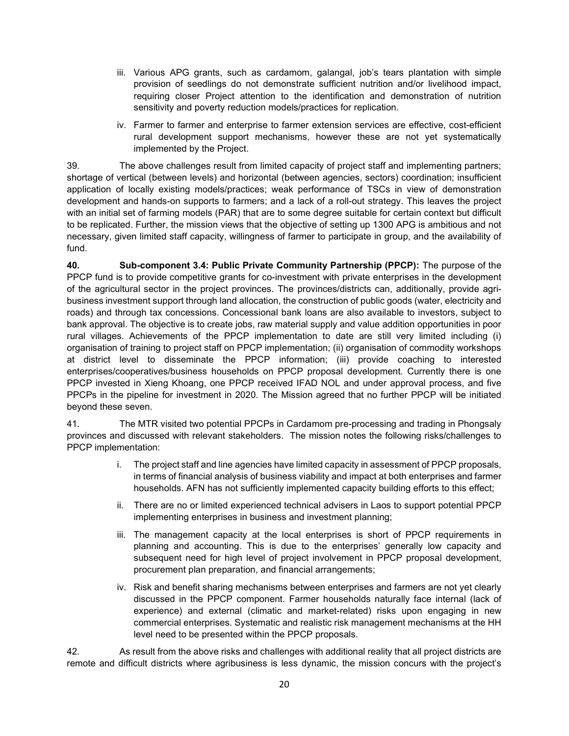- iii. Various APG grants, such as cardamom, galangal, job's tears plantation with simple provision of seedlings do not demonstrate sufficient nutrition and/or livelihood impact, requiring closer Project attention to the identification and demonstration of nutrition sensitivity and poverty reduction models/practices for replication.
- iv. Farmer to farmer and enterprise to farmer extension services are effective, cost-efficient rural development support mechanisms, however these are not yet systematically implemented by the Project.

39. The above challenges result from limited capacity of project staff and implementing partners; shortage of vertical (between levels) and horizontal (between agencies, sectors) coordination; insufficient application of locally existing models/practices; weak performance of TSCs in view of demonstration development and hands-on supports to farmers; and a lack of a roll-out strategy. This leaves the project with an initial set of farming models (PAR) that are to some degree suitable for certain context but difficult to be replicated. Further, the mission views that the objective of setting up 1300 APG is ambitious and not necessary, given limited staff capacity, willingness of farmer to participate in group, and the availability of fund.

40. Sub-component 3.4: Public Private Community Partnership (PPCP): The purpose of the PPCP fund is to provide competitive grants for co-investment with private enterprises in the development of the agricultural sector in the project provinces. The provinces/districts can, additionally, provide agribusiness investment support through land allocation, the construction of public goods (water, electricity and roads) and through tax concessions. Concessional bank loans are also available to investors, subject to bank approval. The objective is to create jobs, raw material supply and value addition opportunities in poor rural villages. Achievements of the PPCP implementation to date are still very limited including (i) organisation of training to project staff on PPCP implementation; (ii) organisation of commodity workshops at district level to disseminate the PPCP information; (iii) provide coaching to interested enterprises/cooperatives/business households on PPCP proposal development. Currently there is one PPCP invested in Xieng Khoang, one PPCP received IFAD NOL and under approval process, and five PPCPs in the pipeline for investment in 2020. The Mission agreed that no further PPCP will be initiated beyond these seven.

41. The MTR visited two potential PPCPs in Cardamom pre-processing and trading in Phongsaly provinces and discussed with relevant stakeholders. The mission notes the following risks/challenges to PPCP implementation:

- i. The project staff and line agencies have limited capacity in assessment of PPCP proposals, in terms of financial analysis of business viability and impact at both enterprises and farmer households. AFN has not sufficiently implemented capacity building efforts to this effect;
- ii. There are no or limited experienced technical advisers in Laos to support potential PPCP implementing enterprises in business and investment planning;
- iii. The management capacity at the local enterprises is short of PPCP requirements in planning and accounting. This is due to the enterprises' generally low capacity and subsequent need for high level of project involvement in PPCP proposal development, procurement plan preparation, and financial arrangements;
- iv. Risk and benefit sharing mechanisms between enterprises and farmers are not yet clearly discussed in the PPCP component. Farmer households naturally face internal (lack of experience) and external (climatic and market-related) risks upon engaging in new commercial enterprises. Systematic and realistic risk management mechanisms at the HH level need to be presented within the PPCP proposals.

42. As result from the above risks and challenges with additional reality that all project districts are remote and difficult districts where agribusiness is less dynamic, the mission concurs with the project's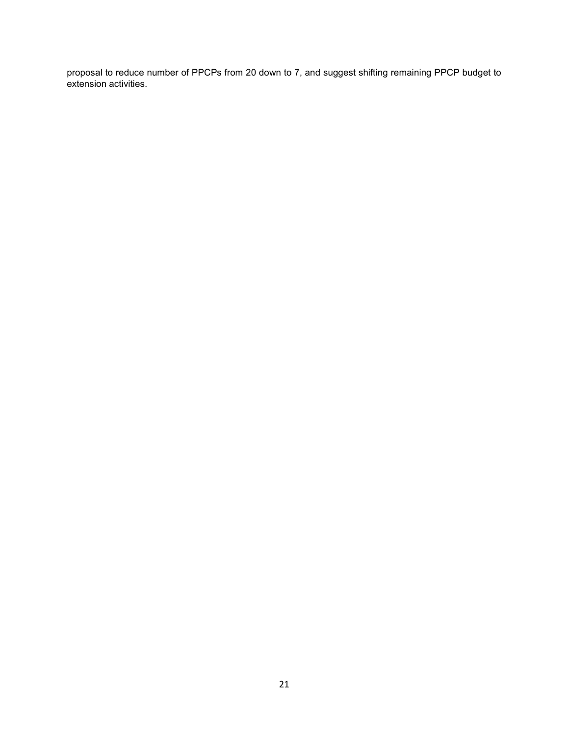proposal to reduce number of PPCPs from 20 down to 7, and suggest shifting remaining PPCP budget to extension activities.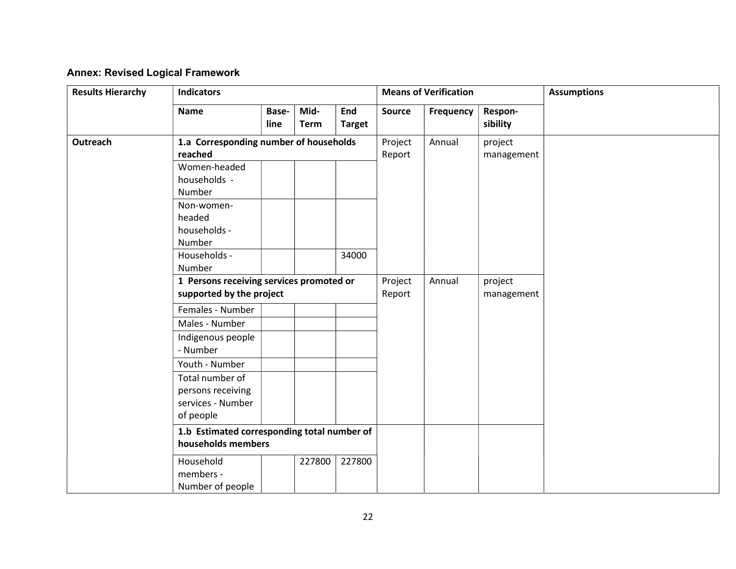# Annex: Revised Logical Framework

| <b>Results Hierarchy</b> | <b>Indicators</b>                                                      |               |                     |                      |                       | <b>Means of Verification</b> |                       | <b>Assumptions</b> |
|--------------------------|------------------------------------------------------------------------|---------------|---------------------|----------------------|-----------------------|------------------------------|-----------------------|--------------------|
|                          | <b>Name</b>                                                            | Base-<br>line | Mid-<br><b>Term</b> | End<br><b>Target</b> | Source                | Frequency                    | Respon-<br>sibility   |                    |
| Outreach                 | 1.a Corresponding number of households<br>reached                      |               |                     |                      | Project<br>Report     | Annual                       | project<br>management |                    |
|                          | Women-headed<br>households -<br>Number                                 |               |                     |                      |                       |                              |                       |                    |
|                          | Non-women-<br>headed<br>households -<br>Number                         |               |                     |                      |                       |                              |                       |                    |
|                          | Households -<br>Number                                                 |               |                     | 34000                |                       |                              |                       |                    |
|                          | 1 Persons receiving services promoted or<br>supported by the project   |               | Project<br>Report   | Annual               | project<br>management |                              |                       |                    |
|                          | Females - Number                                                       |               |                     |                      |                       |                              |                       |                    |
|                          | Males - Number                                                         |               |                     |                      |                       |                              |                       |                    |
|                          | Indigenous people<br>- Number                                          |               |                     |                      |                       |                              |                       |                    |
|                          | Youth - Number                                                         |               |                     |                      |                       |                              |                       |                    |
|                          | Total number of<br>persons receiving<br>services - Number<br>of people |               |                     |                      |                       |                              |                       |                    |
|                          | 1.b Estimated corresponding total number of<br>households members      |               |                     |                      |                       |                              |                       |                    |
|                          | Household<br>members -<br>Number of people                             |               | 227800              | 227800               |                       |                              |                       |                    |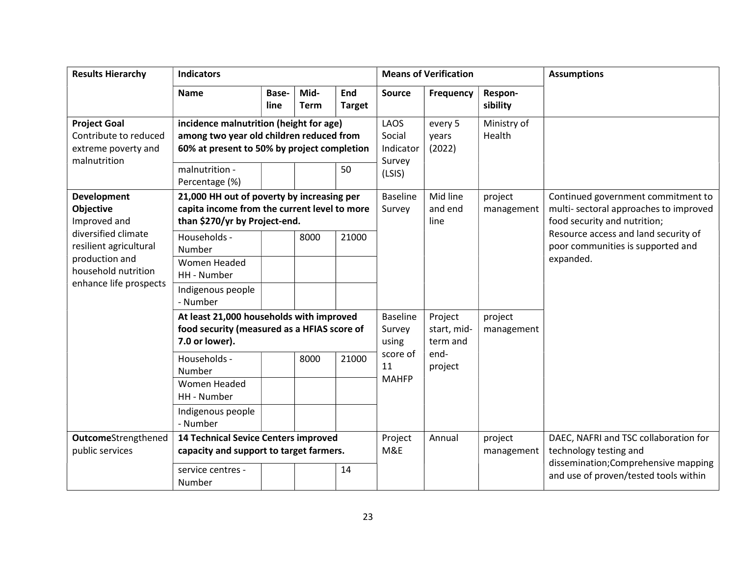| <b>Results Hierarchy</b>                                                               | <b>Indicators</b>                                                                                                                                                      |               |                     |                                    |                                                 | <b>Means of Verification</b> |                                                                 | <b>Assumptions</b>                                                                                          |
|----------------------------------------------------------------------------------------|------------------------------------------------------------------------------------------------------------------------------------------------------------------------|---------------|---------------------|------------------------------------|-------------------------------------------------|------------------------------|-----------------------------------------------------------------|-------------------------------------------------------------------------------------------------------------|
|                                                                                        | <b>Name</b>                                                                                                                                                            | Base-<br>line | Mid-<br><b>Term</b> | <b>End</b><br><b>Target</b>        | <b>Source</b>                                   | Frequency                    | Respon-<br>sibility                                             |                                                                                                             |
| <b>Project Goal</b><br>Contribute to reduced<br>extreme poverty and<br>malnutrition    | incidence malnutrition (height for age)<br>among two year old children reduced from<br>60% at present to 50% by project completion<br>malnutrition -<br>Percentage (%) |               |                     | 50                                 | LAOS<br>Social<br>Indicator<br>Survey<br>(LSIS) | every 5<br>years<br>(2022)   | Ministry of<br>Health                                           |                                                                                                             |
| <b>Development</b><br><b>Objective</b><br>Improved and                                 | 21,000 HH out of poverty by increasing per<br>capita income from the current level to more<br>than \$270/yr by Project-end.                                            |               |                     |                                    | <b>Baseline</b><br>Survey                       | Mid line<br>and end<br>line  | project<br>management                                           | Continued government commitment to<br>multi-sectoral approaches to improved<br>food security and nutrition; |
| diversified climate<br>resilient agricultural<br>production and<br>household nutrition | Households -<br>Number<br><b>Women Headed</b>                                                                                                                          |               | 8000                | 21000                              |                                                 |                              |                                                                 | Resource access and land security of<br>poor communities is supported and<br>expanded.                      |
| enhance life prospects                                                                 | HH - Number<br>Indigenous people<br>- Number                                                                                                                           |               |                     |                                    |                                                 |                              |                                                                 |                                                                                                             |
|                                                                                        | At least 21,000 households with improved<br>food security (measured as a HFIAS score of<br>7.0 or lower).                                                              |               |                     | <b>Baseline</b><br>Survey<br>using | Project<br>start, mid-<br>term and              | project<br>management        |                                                                 |                                                                                                             |
|                                                                                        | Households -<br>Number                                                                                                                                                 |               | 8000                | 21000                              | score of<br>11<br><b>MAHFP</b>                  | end-<br>project              |                                                                 |                                                                                                             |
|                                                                                        | Women Headed<br>HH - Number                                                                                                                                            |               |                     |                                    |                                                 |                              |                                                                 |                                                                                                             |
|                                                                                        | Indigenous people<br>- Number                                                                                                                                          |               |                     |                                    |                                                 |                              |                                                                 |                                                                                                             |
| <b>Outcome</b> Strengthened<br>public services                                         | <b>14 Technical Sevice Centers improved</b><br>capacity and support to target farmers.                                                                                 |               |                     | Project<br>M&E                     | Annual                                          | project<br>management        | DAEC, NAFRI and TSC collaboration for<br>technology testing and |                                                                                                             |
|                                                                                        | service centres -<br>Number                                                                                                                                            |               |                     | 14                                 |                                                 |                              |                                                                 | dissemination; Comprehensive mapping<br>and use of proven/tested tools within                               |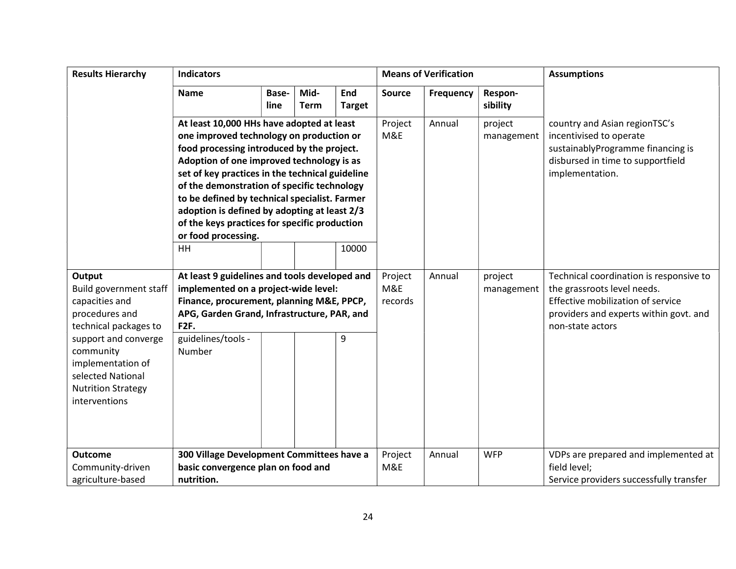| <b>Results Hierarchy</b>                                                                                                  | <b>Indicators</b>                                                                                                                                                                                                                                                                                                                                                                                                                                                 |               |                     |                      |               | <b>Means of Verification</b> |                                                                                                                                                       | <b>Assumptions</b>                                                                                         |
|---------------------------------------------------------------------------------------------------------------------------|-------------------------------------------------------------------------------------------------------------------------------------------------------------------------------------------------------------------------------------------------------------------------------------------------------------------------------------------------------------------------------------------------------------------------------------------------------------------|---------------|---------------------|----------------------|---------------|------------------------------|-------------------------------------------------------------------------------------------------------------------------------------------------------|------------------------------------------------------------------------------------------------------------|
|                                                                                                                           | <b>Name</b>                                                                                                                                                                                                                                                                                                                                                                                                                                                       | Base-<br>line | Mid-<br><b>Term</b> | End<br><b>Target</b> | <b>Source</b> | Frequency                    | Respon-<br>sibility                                                                                                                                   |                                                                                                            |
|                                                                                                                           | At least 10,000 HHs have adopted at least<br>one improved technology on production or<br>food processing introduced by the project.<br>Adoption of one improved technology is as<br>set of key practices in the technical guideline<br>of the demonstration of specific technology<br>to be defined by technical specialist. Farmer<br>adoption is defined by adopting at least 2/3<br>of the keys practices for specific production<br>or food processing.<br>HH |               | 10000               | Project<br>M&E       | Annual        | project<br>management        | country and Asian regionTSC's<br>incentivised to operate<br>sustainablyProgramme financing is<br>disbursed in time to supportfield<br>implementation. |                                                                                                            |
| Output                                                                                                                    | At least 9 guidelines and tools developed and                                                                                                                                                                                                                                                                                                                                                                                                                     |               |                     |                      | Project       | Annual                       | project                                                                                                                                               | Technical coordination is responsive to                                                                    |
| Build government staff                                                                                                    | implemented on a project-wide level:                                                                                                                                                                                                                                                                                                                                                                                                                              |               |                     |                      | M&E           |                              | management                                                                                                                                            | the grassroots level needs.<br>Effective mobilization of service<br>providers and experts within govt. and |
| capacities and                                                                                                            | Finance, procurement, planning M&E, PPCP,                                                                                                                                                                                                                                                                                                                                                                                                                         |               |                     |                      | records       |                              |                                                                                                                                                       |                                                                                                            |
| procedures and                                                                                                            | APG, Garden Grand, Infrastructure, PAR, and                                                                                                                                                                                                                                                                                                                                                                                                                       |               |                     |                      |               |                              |                                                                                                                                                       |                                                                                                            |
| technical packages to                                                                                                     | F <sub>2F</sub> .                                                                                                                                                                                                                                                                                                                                                                                                                                                 |               |                     |                      |               |                              |                                                                                                                                                       | non-state actors                                                                                           |
| support and converge<br>community<br>implementation of<br>selected National<br><b>Nutrition Strategy</b><br>interventions | guidelines/tools -<br>Number                                                                                                                                                                                                                                                                                                                                                                                                                                      |               |                     | 9                    |               |                              |                                                                                                                                                       |                                                                                                            |
|                                                                                                                           |                                                                                                                                                                                                                                                                                                                                                                                                                                                                   |               |                     |                      |               |                              |                                                                                                                                                       |                                                                                                            |
| <b>Outcome</b>                                                                                                            | 300 Village Development Committees have a                                                                                                                                                                                                                                                                                                                                                                                                                         |               |                     |                      | Project       | Annual                       | <b>WFP</b>                                                                                                                                            | VDPs are prepared and implemented at                                                                       |
| Community-driven<br>agriculture-based                                                                                     | basic convergence plan on food and<br>nutrition.                                                                                                                                                                                                                                                                                                                                                                                                                  |               |                     |                      | M&E           |                              |                                                                                                                                                       | field level;<br>Service providers successfully transfer                                                    |
|                                                                                                                           |                                                                                                                                                                                                                                                                                                                                                                                                                                                                   |               |                     |                      |               |                              |                                                                                                                                                       |                                                                                                            |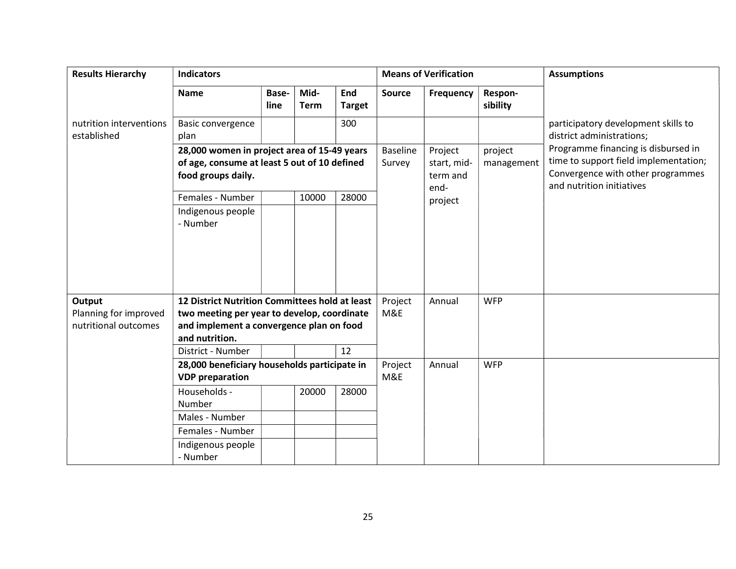| <b>Results Hierarchy</b>               | <b>Indicators</b>                                                  |               |              |                      | <b>Means of Verification</b>    |                  | <b>Assumptions</b>                                                                                      |                                                                  |
|----------------------------------------|--------------------------------------------------------------------|---------------|--------------|----------------------|---------------------------------|------------------|---------------------------------------------------------------------------------------------------------|------------------------------------------------------------------|
|                                        | <b>Name</b>                                                        | Base-<br>line | Mid-<br>Term | End<br><b>Target</b> | <b>Source</b>                   | <b>Frequency</b> | Respon-<br>sibility                                                                                     |                                                                  |
| nutrition interventions<br>established | Basic convergence<br>plan                                          |               |              | 300                  |                                 |                  |                                                                                                         | participatory development skills to<br>district administrations; |
|                                        | 28,000 women in project area of 15-49 years                        |               |              | <b>Baseline</b>      | Project                         | project          | Programme financing is disbursed in                                                                     |                                                                  |
|                                        | of age, consume at least 5 out of 10 defined<br>food groups daily. |               |              | Survey               | start, mid-<br>term and<br>end- | management       | time to support field implementation;<br>Convergence with other programmes<br>and nutrition initiatives |                                                                  |
|                                        | Females - Number                                                   |               | 10000        | 28000                |                                 | project          |                                                                                                         |                                                                  |
|                                        | Indigenous people<br>- Number                                      |               |              |                      |                                 |                  |                                                                                                         |                                                                  |
| Output                                 | <b>12 District Nutrition Committees hold at least</b>              |               |              |                      | Project                         | Annual           | <b>WFP</b>                                                                                              |                                                                  |
| Planning for improved                  | two meeting per year to develop, coordinate                        |               |              |                      | M&E                             |                  |                                                                                                         |                                                                  |
| nutritional outcomes                   | and implement a convergence plan on food                           |               |              |                      |                                 |                  |                                                                                                         |                                                                  |
|                                        | and nutrition.<br>District - Number                                |               |              | 12                   |                                 |                  |                                                                                                         |                                                                  |
|                                        | 28,000 beneficiary households participate in                       |               |              |                      | Project                         | Annual           | <b>WFP</b>                                                                                              |                                                                  |
|                                        | <b>VDP</b> preparation                                             |               |              |                      | M&E                             |                  |                                                                                                         |                                                                  |
|                                        | Households -<br>Number                                             |               | 20000        | 28000                |                                 |                  |                                                                                                         |                                                                  |
|                                        | Males - Number                                                     |               |              |                      |                                 |                  |                                                                                                         |                                                                  |
|                                        | Females - Number                                                   |               |              |                      |                                 |                  |                                                                                                         |                                                                  |
|                                        | Indigenous people<br>- Number                                      |               |              |                      |                                 |                  |                                                                                                         |                                                                  |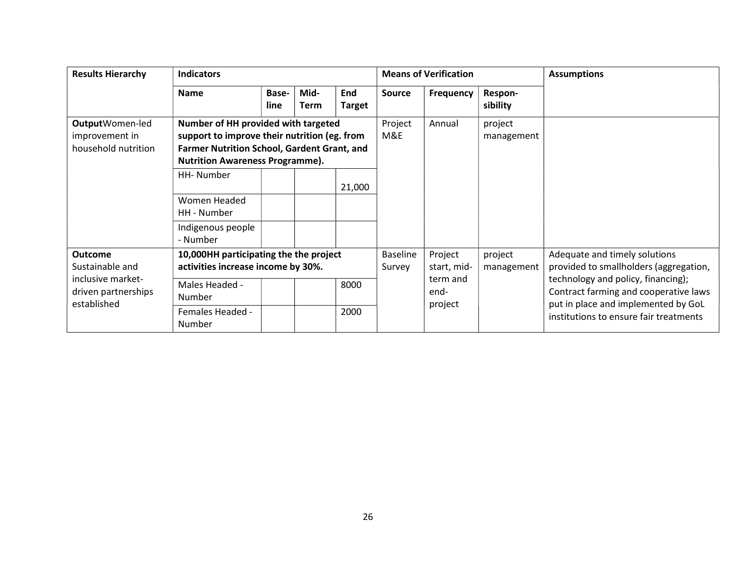| <b>Results Hierarchy</b>                                                                     | <b>Indicators</b>                                                                                                                                                            |               |              |                           |                        |                             |                                                                         | <b>Assumptions</b>                                                                                                                                           |
|----------------------------------------------------------------------------------------------|------------------------------------------------------------------------------------------------------------------------------------------------------------------------------|---------------|--------------|---------------------------|------------------------|-----------------------------|-------------------------------------------------------------------------|--------------------------------------------------------------------------------------------------------------------------------------------------------------|
|                                                                                              | <b>Name</b>                                                                                                                                                                  | Base-<br>line | Mid-<br>Term | End<br><b>Target</b>      | Source                 | <b>Frequency</b>            | Respon-<br>sibility                                                     |                                                                                                                                                              |
| OutputWomen-led<br>improvement in<br>household nutrition                                     | Number of HH provided with targeted<br>support to improve their nutrition (eg. from<br>Farmer Nutrition School, Gardent Grant, and<br><b>Nutrition Awareness Programme).</b> |               |              | Project<br>M&E            | Annual                 | project<br>management       |                                                                         |                                                                                                                                                              |
|                                                                                              | HH-Number                                                                                                                                                                    |               |              | 21,000                    |                        |                             |                                                                         |                                                                                                                                                              |
|                                                                                              | Women Headed<br>HH - Number                                                                                                                                                  |               |              |                           |                        |                             |                                                                         |                                                                                                                                                              |
|                                                                                              | Indigenous people<br>- Number                                                                                                                                                |               |              |                           |                        |                             |                                                                         |                                                                                                                                                              |
| <b>Outcome</b><br>Sustainable and<br>inclusive market-<br>driven partnerships<br>established | 10,000HH participating the the project<br>activities increase income by 30%.                                                                                                 |               |              | <b>Baseline</b><br>Survey | Project<br>start, mid- | project<br>management       | Adequate and timely solutions<br>provided to smallholders (aggregation, |                                                                                                                                                              |
|                                                                                              | Males Headed -<br>Number                                                                                                                                                     |               |              | 8000                      |                        | term and<br>end-<br>project |                                                                         | technology and policy, financing);<br>Contract farming and cooperative laws<br>put in place and implemented by GoL<br>institutions to ensure fair treatments |
|                                                                                              | <b>Females Headed -</b><br>Number                                                                                                                                            |               |              | 2000                      |                        |                             |                                                                         |                                                                                                                                                              |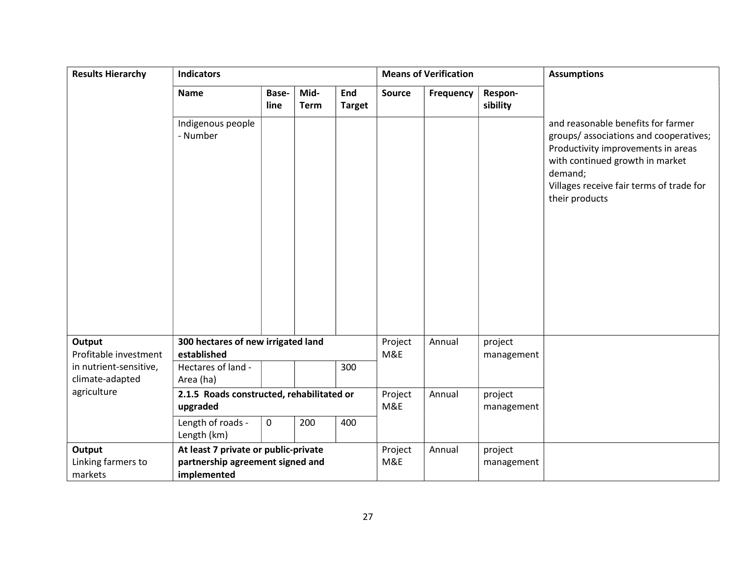| <b>Results Hierarchy</b>                  | <b>Indicators</b>                         |               |                     |                      | <b>Means of Verification</b> |           | <b>Assumptions</b>  |                                                                                                                                                                                                                               |
|-------------------------------------------|-------------------------------------------|---------------|---------------------|----------------------|------------------------------|-----------|---------------------|-------------------------------------------------------------------------------------------------------------------------------------------------------------------------------------------------------------------------------|
|                                           | <b>Name</b>                               | Base-<br>line | Mid-<br><b>Term</b> | End<br><b>Target</b> | <b>Source</b>                | Frequency | Respon-<br>sibility |                                                                                                                                                                                                                               |
|                                           | Indigenous people<br>- Number             |               |                     |                      |                              |           |                     | and reasonable benefits for farmer<br>groups/associations and cooperatives;<br>Productivity improvements in areas<br>with continued growth in market<br>demand;<br>Villages receive fair terms of trade for<br>their products |
| Output                                    | 300 hectares of new irrigated land        |               |                     |                      | Project                      | Annual    | project             |                                                                                                                                                                                                                               |
| Profitable investment                     | established                               |               |                     |                      | M&E                          |           | management          |                                                                                                                                                                                                                               |
| in nutrient-sensitive,<br>climate-adapted | Hectares of land -<br>Area (ha)           |               |                     | 300                  |                              |           |                     |                                                                                                                                                                                                                               |
| agriculture                               | 2.1.5 Roads constructed, rehabilitated or |               |                     |                      | Project                      | Annual    | project             |                                                                                                                                                                                                                               |
|                                           | upgraded                                  |               |                     |                      | M&E                          |           | management          |                                                                                                                                                                                                                               |
|                                           | Length of roads -<br>Length (km)          | 0             | 200                 | 400                  |                              |           |                     |                                                                                                                                                                                                                               |
| Output                                    | At least 7 private or public-private      |               |                     |                      | Project                      | Annual    | project             |                                                                                                                                                                                                                               |
| Linking farmers to                        | partnership agreement signed and          |               |                     |                      | M&E                          |           | management          |                                                                                                                                                                                                                               |
| markets                                   | implemented                               |               |                     |                      |                              |           |                     |                                                                                                                                                                                                                               |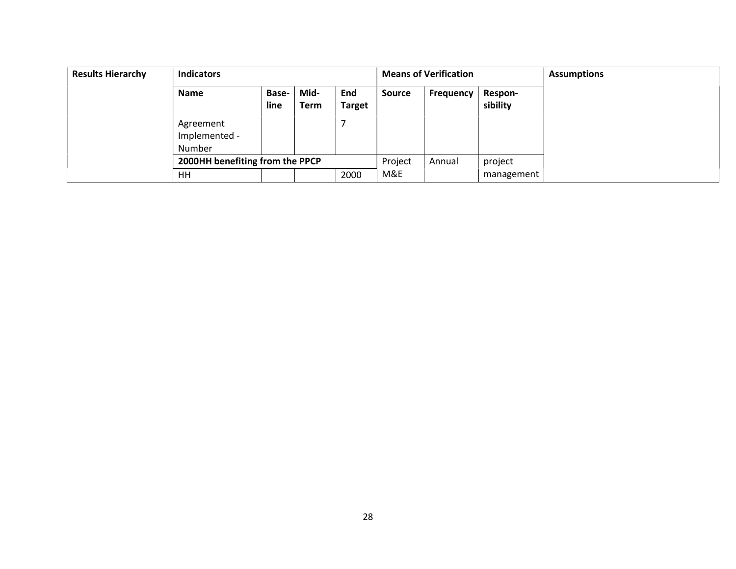| <b>Results Hierarchy</b> | <b>Indicators</b>                    |                      |              |                      | <b>Means of Verification</b> |                  | <b>Assumptions</b>         |  |
|--------------------------|--------------------------------------|----------------------|--------------|----------------------|------------------------------|------------------|----------------------------|--|
|                          | <b>Name</b>                          | <b>Base-</b><br>line | Mid-<br>Term | End<br><b>Target</b> | <b>Source</b>                | <b>Frequency</b> | <b>Respon-</b><br>sibility |  |
|                          | Agreement<br>Implemented -<br>Number |                      |              |                      |                              |                  |                            |  |
|                          | 2000HH benefiting from the PPCP      |                      |              |                      | Project                      | Annual           | project                    |  |
|                          | HH                                   |                      |              | 2000                 | M&E                          |                  | management                 |  |